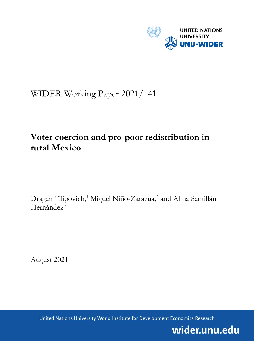

# WIDER Working Paper 2021/141

# **Voter coercion and pro-poor redistribution in rural Mexico**

Dragan Filipovich,<sup>1</sup> Miguel Niño-Zarazúa,<sup>2</sup> and Alma Santillán Hernández<sup>3</sup>

August 2021

United Nations University World Institute for Development Economics Research

wider.unu.edu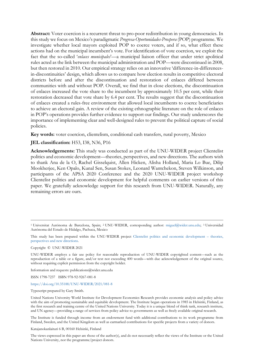**Abstract:** Voter coercion is a recurrent threat to pro-poor redistribution in young democracies. In this study we focus on Mexico's paradigmatic *Progresa-Oportunidades-Prospera* (POP) programme. We investigate whether local mayors exploited POP to coerce voters, and if so, what effect these actions had on the municipal incumbent's vote. For identification of vote coercion, we exploit the fact that the so-called '*enlaces municipales*'—a municipal liaison officer that under strict apolitical rules acted as the link between the municipal administration and POP—were discontinued in 2008, but then restored in 2010. Our empirical strategy relies on an innovative 'difference-in-differencesin-discontinuities' design, which allows us to compare how election results in competitive electoral districts before and after the discontinuation and restoration of enlaces differed between communities with and without POP. Overall, we find that in close elections, the discontinuation of enlaces increased the vote share to the incumbent by approximately 10.5 per cent, while their restoration decreased that vote share by 6.4 per cent. The results suggest that the discontinuation of enlaces created a rules-free environment that allowed local incumbents to coerce beneficiaries to achieve an electoral gain. A review of the existing ethnographic literature on the role of enlaces in POP's operations provides further evidence to support our findings. Our study underscores the importance of implementing clear and well-designed rules to prevent the political capture of social policies.

**Key words:** voter coercion, clientelism, conditional cash transfers, rural poverty, Mexico

## **JEL classification:** H53, I38, N36, P16

**Acknowledgements:** This study was conducted as part of the UNU-WIDER project Clientelist politics and economic development—theories, perspectives, and new directions. The authors wish to thank Ana de la O, Rachel Gisselquist, Allen Hicken, Alisha Holland, Maria Lo Bue, Dilip Mookherjee, Ken Opalo, Kunal Sen, Susan Stokes, Leonard Wantchekon, Steven Wilkinson, and participants of the APSA 2020 Conference and the 2020 UNU-WIDER project workshop Clientelist politics and economic development for helpful comments on earlier versions of this paper. We gratefully acknowledge support for this research from UNU-WIDER. Naturally, any remaining errors are ours.

Copyright © UNU-WIDER 2021

Information and requests: publications@wider.unu.edu

ISSN 1798-7237 ISBN 978-92-9267-081-8

## <https://doi.org/10.35188/UNU-WIDER/2021/081-8>

Typescript prepared by Gary Smith.

The Institute is funded through income from an endowment fund with additional contributions to its work programme from Finland, Sweden, and the United Kingdom as well as earmarked contributions for specific projects from a variety of donors.

Katajanokanlaituri 6 B, 00160 Helsinki, Finland

The views expressed in this paper are those of the author(s), and do not necessarily reflect the views of the Institute or the United Nations University, nor the programme/project donors.

<sup>1</sup> Universitat Autónoma de Barcelona, Spain; 2 UNU-WIDER, corresponding author: [miguel@wider.unu.edu;](mailto:miguel@wider.unu.edu) 3 Universidad Autónoma del Estado de Hidalgo, Pachuca, Mexico

This study has been prepared within the UNU-WIDER project [Clientelist politics and economic development –](https://www.wider.unu.edu/node/237043) theories, [perspectives and new directions.](https://www.wider.unu.edu/node/237043)

UNU-WIDER employs a fair use policy for reasonable reproduction of UNU-WIDER copyrighted content—such as the reproduction of a table or a figure, and/or text not exceeding 400 words—with due acknowledgement of the original source, without requiring explicit permission from the copyright holder.

United Nations University World Institute for Development Economics Research provides economic analysis and policy advice with the aim of promoting sustainable and equitable development. The Institute began operations in 1985 in Helsinki, Finland, as the first research and training centre of the United Nations University. Today it is a unique blend of think tank, research institute, and UN agency—providing a range of services from policy advice to governments as well as freely available original research.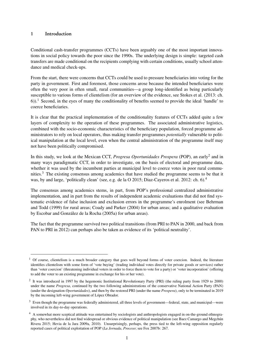## <span id="page-2-0"></span>1 Introduction

Conditional cash-transfer programmes (CCTs) have been arguably one of the most important innovations in social policy towards the poor since the 1990s. The underlying design is simple: targeted cash transfers are made conditional on the recipients complying with certain conditions, usually school attendance and medical check-ups.

From the start, there were concerns that CCTs could be used to pressure beneficiaries into voting for the party in government. First and foremost, those concerns arose because the intended beneficiaries were often the very poor in often small, rural communities—a group long-identified as being particularly susceptible to various forms of clientelism (for an overview of the evidence, see Stokes et al. (2013: ch. 6)).<sup>1</sup> Second, in the eyes of many the conditionality of benefits seemed to provide the ideal 'handle' to coerce beneficiaries.

It is clear that the practical implementation of the conditionality features of CCTs added quite a few layers of complexity to the operation of these programmes. The associated administrative logistics, combined with the socio-economic characteristics of the beneficiary population, forced programme administrators to rely on local operators, thus making transfer programmes *potentially* vulnerable to political manipulation at the local level, even when the central administration of the programme itself may not have been politically compromised.

In this study, we look at the Mexican CCT, *Progresa Oportunidades Prospera* (POP), an early<sup>2</sup> and in many ways paradigmatic CCT, in order to investigate, on the basis of electoral and programme data, whether it was used by the incumbent parties at municipal level to coerce votes in poor rural communities.<sup>3</sup> The existing consensus among academics that have studied the programme seems to be that it was, by and large, 'politically clean' (see, e.g. de la O 2015; Diaz-Cayeros et al. 2012: ch. 6).<sup>4</sup>

The consensus among academics stems, in part, from POP's professional centralized administrative implementation, and in part from the results of independent academic evaluations that did not find systematic evidence of false inclusion and exclusion errors in the programme's enrolment (see Behrman and Todd (1999) for rural areas; Coady and Parker (2004) for urban areas; and a qualitative evaluation by Escobar and González de la Rocha (2005a) for urban areas).

The fact that the programme survived two political transitions (from PRI to PAN in 2000, and back from PAN to PRI in 2012) can perhaps also be taken as evidence of its 'political neutrality'.

 $1$  Of course, clientelism is a much broader category that goes well beyond forms of voter coercion. Indeed, the literature identifies clientelism with some form of 'vote buying' (trading individual votes directly for private goods or services) rather than 'voter coercion' (threatening individual voters in order to force them to vote for a party) or 'voter incorporation' (offering to add the voter to an existing programme in exchange for his or her vote).

<sup>&</sup>lt;sup>2</sup> It was introduced in 1997 by the hegemonic Institutional Revolutionary Party (PRI) (the ruling party from 1929 to 2000) under the name *Progresa*, continued by the two following administrations of the conservative National Action Party (PAN) (under the designation *Oportunidades*), and then by the restored PRI (under the name *Prospera*), only to be terminated in 2019 by the incoming left-wing government of López Obrador.

<sup>&</sup>lt;sup>3</sup> Even though the programme was federally administered, all three levels of government—federal, state, and municipal—were involved in its day-to-day operations.

<sup>&</sup>lt;sup>4</sup> A somewhat more sceptical attitude was entertained by sociologists and anthropologists engaged in on-the-ground ethnography, who nevertheless did not find widespread or obvious evidence of political manipulation (see Baez Camargo and Megchún Rivera 2015; Hevia de la Jara 2009a, 2010). Unsurprisingly, perhaps, the press tied to the left-wing opposition regularly reported cases of political exploitation of POP (*La Jornada*, *Proceso*; see Fox 2007b: 267.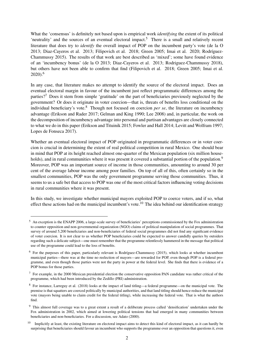What the 'consensus' is definitely not based upon is empirical work *identifying* the extent of its political 'neutrality' and the sources of an eventual electoral impact.<sup>[5](#page-2-0)</sup> There is a small and relatively recent literature that does try to *identify* the overall impact of POP on the incumbent party's vote (de la O 2013; Diaz-Cayeros et al. 2013; Filipovich et al. 2018; Green 2005; Imai et al. 2020; Rodríguez-Chammussy 2015). The results of that work are best described as 'mixed'; some have found evidence of an 'incumbency bonus' (de la O 2013; Diaz-Cayeros et al. 2013; Rodriguez-Chammussy 2018), but others have not been able to confirm that find (Filipovich et al. 2018; Green 2005; Imai et al. 2020).[6](#page-2-0)

In any case, that literature makes no attempt to identify the source of the electoral impact. Does an eventual electoral margin in favour of the incumbent just reflect programmatic differences among the parties?[7](#page-2-0) Does it stem from simple 'gratitude' on the part of beneficiaries previously neglected by the government? Or does it originate in voter coercion—that is, threats of benefits loss conditional on the individual beneficiary's vote.<sup>[8](#page-2-0)</sup> Though not focused on coercion *per se*, the literature on incumbency advantage (Erikson and Rader 2017; Gelman and King 1990; Lee 2008) and, in particular, the work on the decomposition of incumbency advantage into personal and partisan advantages are closely connected to what we do in this paper (Erikson and Tituinik 2015; Fowler and Hall 2014; Levitt and Wolfram 1997; Lopes de Fonseca 2017).

Whether an eventual electoral impact of POP originated in programmatic differences or in voter coercion is crucial in determining the extent of real political competition in rural Mexico. One should bear in mind that POP at its height reached almost one-quarter of the Mexican population (six million house-holds), and in rural communities where it was present it covered a substantial portion of the population.<sup>[9](#page-2-0)</sup> Moreover, POP was an important source of income in those communities, amounting to around 30 per cent of the average labour income among poor families. On top of all of this, often certainly so in the smallest communities, POP was the only government programme serving those communities. Thus, it seems to us a safe bet that access to POP was one of the most critical factors influencing voting decisions in rural communities where it was present.

In this study, we investigate whether municipal mayors exploited POP to coerce voters, and if so, what effect these actions had on the municipal incumbent's vote.<sup>[10](#page-2-0)</sup> The idea behind our identification strategy

<sup>5</sup> An exception is the ENAPP 2006, a large-scale survey of beneficiaries' perceptions commissioned by the Fox administration to counter opposition and non-governmental organization (NGO) claims of political manipulation of social programmes. That survey of around 5,200 beneficiaries and non-beneficiaries of federal social programmes did not find any significant evidence of voter coercion. It is not clear to us whether POP beneficiaries could be expected to answer candidly queries by outsiders regarding such a delicate subject—one must remember that the programme relentlessly hammered in the message that political use of the programme could lead to the loss of benefits.

 $6$  For the purposes of this paper, particularly relevant is Rodríguez-Chammussy (2015), which looks at whether incumbent municipal parties—there was at the time no reelection of mayors—are rewarded for POP, even though POP is a federal programme, and even though those parties were not the party in power at the federal level. She finds that there is evidence of a POP bonus for those parties.

 $<sup>7</sup>$  For example, in the 2000 Mexican presidential election the conservative opposition PAN candidate was rather critical of the</sup> programme, which had been introduced by the Zedillo (PRI) administration.

<sup>8</sup> For instance, Larreguy et al. (2018) looks at the impact of land titling—a federal programme—on the municipal vote. The premise is that squatters are coerced politically by municipal authorities, and that land titling should hence reduce the municipal vote (mayors being unable to claim credit for the federal titling), while increasing the federal vote. That is what the authors find.

<sup>9</sup> This almost full coverage was to a great extent a result of a deliberate process called 'densification' undertaken under the Fox administration in 2002, which aimed at lowering political tensions that had emerged in many communities between beneficiaries and non-beneficiaries. For a discussion, see Adato (2000).

 $10$  Implicitly at least, the existing literature on electoral impact aims to detect this kind of electoral impact, as it can hardly be surprising that beneficiaries should favour an incumbent who supports the programme over an opposition that questions it, even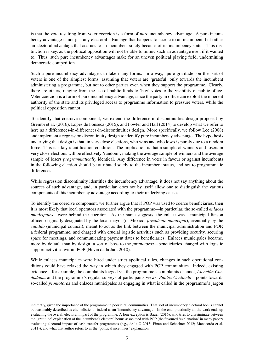is that the vote resulting from voter coercion is a form of *pure* incumbency advantage. A pure incumbency advantage is not just any electoral advantage that happens to accrue to an incumbent, but rather an electoral advantage that accrues to an incumbent solely because of its incumbency status. This distinction is key, as the political opposition will not be able to mimic such an advantage even if it wanted to. Thus, such pure incumbency advantages make for an uneven political playing field, undermining democratic competition.

Such a pure incumbency advantage can take many forms. In a way, 'pure gratitude' on the part of voters is one of the simplest forms, assuming that voters are 'grateful' only towards the incumbent administering a programme, but not to other parties even when they support the programme. Clearly, there are others, ranging from the use of public funds to 'buy' votes to the visibility of public office. Voter coercion is a form of pure incumbency advantage, since the party in office can exploit the inherent authority of the state and its privileged access to programme information to pressure voters, while the political opposition cannot.

To identify that coercive component, we extend the difference-in-discontinuities design proposed by Grembi et al. (2016), Lopes de Fonseca (2015), and Fowler and Hall (2014) to develop what we refer to here as a differences-in-differences-in-discontinuities design. More specifically, we follow Lee (2008) and implement a regression discontinuity design to identify pure incumbency advantage. The hypothesis underlying that design is that, in very close elections, who wins and who loses is purely due to a random force. This is a key identification condition. The implication is that a sample of winners and losers in very close elections will be effectively 'random', making the average sample of winners and the average sample of losers *programmatically* identical. Any difference in votes in favour or against incumbents in the following election should be attributed solely to the incumbent status, and not to programmatic differences.

While regression discontinuity identifies the incumbency advantage, it does not say anything about the sources of such advantage, and, in particular, does not by itself allow one to distinguish the various components of this incumbency advantage according to their underlying causes.

To identify the coercive component, we further argue that if POP was used to coerce beneficiaries, then it is most likely that local operators associated with the programme—in particular, the so-called *enlaces municipales*—were behind the coercion. As the name suggests, the enlace was a municipal liaison officer, originally designated by the local mayor (in Mexico, *presidente municipal*), eventually by the *cabildo* (municipal council), meant to act as the link between the municipal administration and POP, a federal programme, and charged with crucial logistic activities such as providing security, securing space for meetings, and communicating payment dates to beneficiaries. Enlaces municipales became, more by default than by design, a sort of boss to the *promotoras*—beneficiaries charged with logistic support activities within POP (Hevia de la Jara 2010).

While enlaces municipales were hired under strict apolitical rules, changes in such operational conditions could have relaxed the way in which they engaged with POP communities. Indeed, existing evidence—for example, the complaints logged via the programme's complaints channel, *Atención Ciudadana*, and the programme's regular surveys of participants views, *Puntos Centinela*—points towards so-called *promotoras* and enlaces municipales as engaging in what is called in the programme's jargon

indirectly, given the importance of the programme in poor rural communities. That sort of incumbency electoral bonus cannot be reasonably described as clientelistic, or indeed as an 'incumbency advantage'. In the end, practically all the work ends up evaluating the overall electoral impact of the programme. A lone exception is Bauer (2016), who tries to discriminate between the 'gratitude' explanation of the incumbent's electoral bonus associated with POP (the favoured 'explanation' in many papers evaluating electoral impact of cash-transfer programmes (e.g., de la O 2013; Finan and Schechter 2012; Manacorda et al. 2011)), and what that author refers to as the 'political incentives' explanation.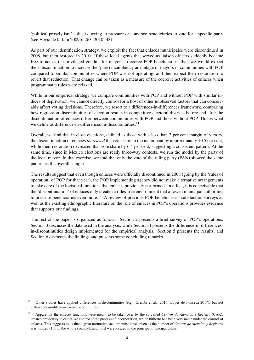'political proselytism'—that is, trying to pressure or convince beneficiaries to vote for a specific party (see Hevia de la Jara 2009b: 263, 2010: 48).

As part of our identification strategy, we exploit the fact that enlaces municipales were discontinued in 2008, but then restored in 2010. If these local agents that served as liaison officers suddenly became free to act as the privileged conduit for mayors to coerce POP beneficiaries, then we would expect their discontinuation to increase the (pure) incumbency advantage of mayors in communities with POP compared to similar communities where POP was not operating, and then expect their restoration to revert that reduction. That change can be taken as a measure of the coercive activities of enlaces when programmatic rules were relaxed.

While in our empirical strategy we compare communities with POP and without POP with similar indices of deprivation, we cannot directly control for a host of other unobserved factors that can conceivably affect voting decisions. Therefore, we resort to a differences-in-differences framework, comparing how regression discontinuities of election results in competitive electoral districts before and after the discontinuation of enlaces differ between communities with POP and those without POP. This is what we define as difference-in-differences-in-discontinuities.<sup>[11](#page-2-0)</sup>

Overall, we find that in close elections, defined as those with a less than 3 per cent margin of victory, the discontinuation of enlaces *increased* the vote share to the incumbent by approximately 10.5 per cent, while their restoration decreased that vote share by 6.4 per cent, suggesting a consistent pattern. At the same time, since in Mexico elections are really three-way contests, we run the model by the party of the local mayor. In that exercise, we find that only the vote of the ruling party (PAN) showed the same pattern as the overall sample.

The results suggest that even though enlaces were officially discontinued in 2008 (going by the 'rules of operation' of POP for that year), the POP implementing agency did not make alternative arrangements to take care of the logistical functions that enlaces previously performed. In effect, it is conceivable that the 'discontinuation' of enlaces only created a rules-free environment that allowed municipal authorities to pressure beneficiaries even more.<sup>[12](#page-2-0)</sup> A review of previous POP beneficiaries' satisfaction surveys as well as the existing ethnographic literature on the role of enlaces in POP's operations provides evidence that supports our findings.

The rest of the paper is organized as follows: Section 2 presents a brief survey of POP's operations. Section 3 discusses the data used in the analysis, while Section 4 presents the difference-in-differencesin-discontinuities design implemented for the empirical analysis. Section 5 presents the results, and Section 6 discusses the findings and presents some concluding remarks.

<sup>&</sup>lt;sup>11</sup> Other studies have applied differences-in-discontinuities (e.g. Grembi et al. 2016; Lopes de Fonseca 2017), but not differences-in-differences-in-discontinuities.

<sup>12</sup> Apparently the enlaces functions were meant to be taken over by the so-called *Centros de Atencion y Registro* (CAR), created previously to centralize control of the process of incorporation, which hitherto had been very much under the control of enlaces. This suggests to us that a great normative vacuum must have arisen as the number of *Centros de Atencion y Registros* was limited (130 in the whole country), and most were located in the principal municipal towns.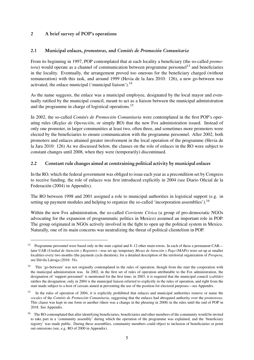# 2 A brief survey of POP's operations

# 2.1 Municipal enlaces, promotoras, and Comités de Promoción Comunitaria

From its beginning in 1997, POP contemplated that at each locality a beneficiary (the so-called *promotora*) would operate as a channel of communication between programme personnel<sup>[13](#page-2-0)</sup> and beneficiaries in the locality. Eventually, the arrangement proved too onerous for the beneficiary charged (without remuneration) with this task, and around 1999 (Hevia de la Jara 2010: 126), a new go-between was activated, the enlace municipal ('municipal liaison'). $^{14}$  $^{14}$  $^{14}$ 

As the name suggests, the enlace was a municipal employee, designated by the local mayor and eventually ratified by the municipal council, meant to act as a liaison between the municipal administration and the programme in charge of logistical operations.[15](#page-2-0)

In 2002, the so-called *Comités de Promoción Comunitaria* were contemplated in the first POP's operating rules (*Reglas de Operación*, or simply RO) that the new Fox administration issued. Instead of only one promoter, in larger communities at least two, often three, and sometimes more promoters were elected by the beneficiaries to ensure communication with the programme personnel. After 2002, both promoters and enlaces attained greater involvement in the local operation of the programme (Hevia de la Jara 2010: 126) As we discussed below, the clauses on the role of enlaces in the RO were subject to constant changes until 2008, when they were (temporarily) discontinued.

## 2.2 Constant rule changes aimed at constraining political activity by municipal enlaces

In the RO, which the federal government was obliged to issue each year as a precondition set by Congress to receive funding, the role of enlaces was first introduced explicitly in 2004 (see Diario Oficial de la Federación (2004) in Appendix).

The RO between 1998 and 2001 assigned a role to municipal authorities in logistical support (e.g. in setting up payment modules and helping to organize the so-called 'incorporation assemblies').<sup>[16](#page-2-0)</sup>

Within the new Fox administration, the so-called *Corriente Cívica* (a group of pro-democratic NGOs advocating for the expansion of programmatic politics in Mexico) assumed an important role in POP. The group originated in NGOs actively involved in the fight to open up the political system in Mexico. Naturally, one of its main concerns was neutralizing the threat of political clientelism in POP.

<sup>13</sup> Programme personnel were based only in the state capital and 8–12 other main towns. In each of these a permanent CAR later UAR (*Unidad de Atención y Registro*)—was set up; temporary *Mesas de Atención y Pago* (MAPs) were set up at smaller localities every two months (the payment cycle duration); for a detailed description of the territorial organization of *Prospera*, see Dávila Lárraga (2016: 54).

<sup>&</sup>lt;sup>14</sup> This 'go-between' was not originally contemplated in the rules of operation, though from the start the cooperation with the municipal administration was. In 2002, in the first set of rules of operation attributable to the Fox administration, the designation of 'support personnel' is mentioned for the first time; in 2003, it is required that the municipal council (*cabildo*) ratifies the designation; only in 2004 is the municipal liaison referred to explicitly in the rules of operation, and right from the start made subject to a host of caveats aimed at preventing the use of the position for electoral purposes—see Appendix.

 $15$  In the rules of operation of 2004, it is explicitly prohibited that enlaces and municipal authorities remove or name the *vocales* of the *Comités de Promoción Comunitaria*, suggesting that the enlaces had abrogated authority over the *promotoras*. This clause was kept in one form or another (there was a change in the phrasing in 2008) in the rules until the end of POP in 2018. See Appendix.

<sup>&</sup>lt;sup>16</sup> The RO contemplated that after identifying beneficiaries, beneficiaries and other members of the community would be invited to take part in a 'community assembly' during which the operation of the programme was explained, and the 'beneficiary registry' was made public. During these assemblies, community members could object to inclusion of beneficiaries or point out omissions (see, e.g. RO of 2000 in Appendix).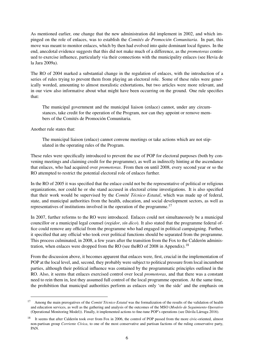As mentioned earlier, one change that the new administration did implement in 2002, and which impinged on the role of enlaces, was to establish the *Comités de Promoción Comunitaria*. In part, this move was meant to monitor enlaces, which by then had evolved into quite dominant local figures. In the end, anecdotal evidence suggests that this did not make much of a difference, as the *promotoras* continued to exercise influence, particularly via their connections with the municipality enlaces (see Hevia de la Jara 2009a).

The RO of 2004 marked a substantial change in the regulation of enlaces, with the introduction of a series of rules trying to prevent them from playing an electoral role. Some of these rules were generically worded, amounting to almost moralistic exhortations, but two articles were more relevant, and in our view also informative about what might have been occurring on the ground. One rule specifies that:

The municipal government and the municipal liaison (enlace) cannot, under any circumstances, take credit for the operation of the Program, nor can they appoint or remove members of the Comités de Promoción Comunitaria.

Another rule states that:

The municipal liaison (enlace) cannot convene meetings or take actions which are not stipulated in the operating rules of the Program.

These rules were specifically introduced to prevent the use of POP for electoral purposes (both by convening meetings and claiming credit for the programme), as well as indirectly hinting at the ascendance that enlaces, who had acquired over *promotoras*. From then on until 2008, every second year or so the RO attempted to restrict the potential electoral role of enlaces further.

In the RO of 2005 it was specified that the enlace could not be the representative of political or religious organizations, nor could he or she stand accused in electoral crime investigations. It is also specified that their work would be supervised by the *Comité Técnico Estatal*, which was made up of federal, state, and municipal authorities from the health, education, and social development sectors, as well as representatives of institutions involved in the operation of the programme.<sup>[17](#page-2-0)</sup>

In 2007, further reforms to the RO were introduced. Enlaces could not simultaneously be a municipal councillor or a municipal legal counsel (*regidor*, *sín dico*). It also stated that the programme federal office could remove any official from the programme who had engaged in political campaigning. Further, it specified that any official who took over political functions should be separated from the programme. This process culminated, in 2008, a few years after the transition from the Fox to the Calderón adminis-tration, when enlaces were dropped from the RO (see the RO of 2008 in Appendix).<sup>[18](#page-2-0)</sup>

From the discussion above, it becomes apparent that enlaces were, first, crucial in the implementation of POP at the local level, and, second, they probably were subject to political pressure from local incumbent parties, although their political influence was contained by the programmatic principles outlined in the RO. Also, it seems that enlaces exercised control over local *promotoras*, and that there was a constant need to rein them in, lest they assumed full control of the local programme operation. At the same time, the prohibition that municipal authorities perform as enlaces only 'on the side' and the emphasis on

<sup>17</sup> Among the main prerogatives of the *Comité Técnico Estatal* was the formalization of the results of the validation of health and education services, as well as the gathering and analysis of the outcomes of the MSO (*Modelo de Seguimiento Operativo* (Operational Monitoring Model)). Finally, it implemented actions to fine-tune POP's operations (see Dávila Lárraga 2016).

<sup>&</sup>lt;sup>18</sup> It seems that after Calderón took over from Fox in 2006, the control of POP passed from the more civic-oriented, almost non-partisan group *Corriente Cívica*, to one of the most conservative and partisan factions of the ruling conservative party, PAN.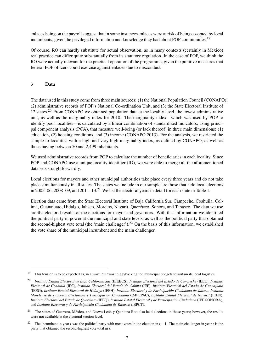enlaces being on the payroll suggest that in some instances enlaces were at risk of being co-opted by local incumbents, given the privileged information and knowledge they had about POP communities.<sup>[19](#page-2-0)</sup>

Of course, RO can hardly substitute for actual observation, as in many contexts (certainly in Mexico) real practice can differ quite substantially from its statutory regulation. In the case of POP, we think the RO were actually relevant for the practical operation of the programme, given the punitive measures that federal POP officers could exercise against enlaces due to misconduct.

# 3 Data

The data used in this study come from three main sources: (1) the National Population Council (CONAPO); (2) administrative records of POP's National Co-ordination Unit; and (3) the State Electoral Institute of 12 states.[20](#page-2-0) From CONAPO we obtained population data at the locality level, the lowest administrative unit, as well as the marginality index for 2010. The marginality index—which was used by POP to identify poor localities—is calculated by a linear combination of standardized indicators, using principal component analysis (PCA), that measure well-being (or lack thereof) in three main dimensions: (1) education, (2) housing conditions, and (3) income (CONAPO 2013). For the analysis, we restricted the sample to localities with a high and very high marginality index, as defined by CONAPO, as well as those having between 50 and 2,499 inhabitants.

We used administrative records from POP to calculate the number of beneficiaries in each locality. Since POP and CONAPO use a unique locality identifier (ID), we were able to merge all the aforementioned data sets straightforwardly.

Local elections for mayors and other municipal authorities take place every three years and do not take place simultaneously in all states. The states we include in our sample are those that held local elections in 2005–06, 2008–09, and 2011–13.<sup>[21](#page-2-0)</sup> We list the electoral years in detail for each state in Table [1.](#page-9-0)

Election data came from the State Electoral Institute of Baja California Sur, Campeche, Coahuila, Colima, Guanajuato, Hidalgo, Jalisco, Morelos, Nayarit, Querétaro, Sonora, and Tabasco. The data we use are the electoral results of the elections for mayor and governors. With that information we identified the political party in power at the municipal and state levels, as well as the political party that obtained the second-highest vote total (the 'main challenger').[22](#page-2-0) On the basis of this information, we established the vote share of the municipal incumbent and the main challenger.

<sup>&</sup>lt;sup>19</sup> This tension is to be expected as, in a way, POP was 'piggybacking' on municipal budgets to sustain its local logistics.

<sup>20</sup> *Instituto Estatal Electoral de Baja California Sur* (IEEBCS), *Instituto Electoral del Estado de Campeche* (IEEC), *Instituto Electoral de Coahuila* (IEC), *Instituto Electoral del Estado de Colima* (IEE), *Instituto Electoral del Estado de Guanajuato* (IEEG), *Instituto Estatal Electoral de Hidalgo* (IEEH), *Instituto Electoral y de Participación Ciudadana de Jalisco*, *Instituto Morelense de Procesos Electorales y Participación Ciudadana* (IMPEPAC), *Instituto Estatal Electoral de Nayarit* (IEEN), *Instituto Electoral del Estado de Querétaro* (IEEQ), *Instituto Estatal Electoral y de Participación Ciudadana* (IEE SONORA), and *Instituto Electoral y de Participación Ciudadana de Tabasco* (IEPCT).

<sup>&</sup>lt;sup>21</sup> The states of Guerrero, México, and Nuevo León y Quintana Roo also held elections in those years; however, the results were not available at the electoral section level.

<sup>&</sup>lt;sup>22</sup> The incumbent in year *t* was the political party with most votes in the election in  $t - 1$ . The main challenger in year *t* is the party that obtained the second-highest vote total in *t*.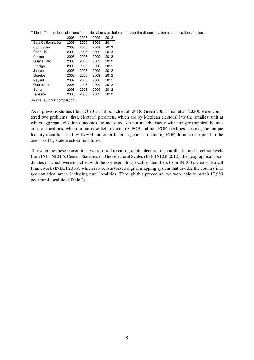<span id="page-9-0"></span>Table 1: Years of local elections for municipal mayors before and after the discontinuation and restoration of enlaces

|                     | 2003 | 2006 | 2009 | 2012 |
|---------------------|------|------|------|------|
| Baja California Sur | 2002 | 2005 | 2008 | 2011 |
| Campeche            | 2003 | 2006 | 2009 | 2012 |
| Coahuila            | 2002 | 2005 | 2009 | 2013 |
| Colima              | 2003 | 2006 | 2009 | 2012 |
| Guanajuato          | 2003 | 2006 | 2009 | 2012 |
| Hidalgo             | 2002 | 2005 | 2008 | 2011 |
| Jalisco             | 2003 | 2006 | 2009 | 2012 |
| Morelos             | 2003 | 2006 | 2009 | 2012 |
| Navarit             | 2002 | 2005 | 2008 | 2011 |
| Querétaro           | 2003 | 2006 | 2009 | 2012 |
| Sonor               | 2003 | 2006 | 2009 | 2012 |
| Tabasco             | 2003 | 2006 | 2009 | 2012 |

Source: authors' compilation.

As in previous studies (de la O 2013; Filipovich et al. 2018; Green 2005; Imai et al. 2020), we encountered two problems: first, electoral precincts, which are by Mexican electoral law the smallest unit at which aggregate election outcomes are measured, do not match exactly with the geographical boundaries of localities, which in our case help us identify POP and non-POP localities; second, the unique locality identifier used by INEGI and other federal agencies, including POP, do not correspond to the ones used by state electoral institutes.

To overcome these constraints, we resorted to cartographic electoral data at district and precinct levels from INE-INEGI's Census Statistics on Geo-electoral Scales (INE-INEGI 2012), the geographical coordinates of which were matched with the corresponding locality identifiers from INEGI's Geo-statistical Framework (INEGI 2016), which is a census-based digital mapping system that divides the country into geo-statistical areas, including rural localities. Through this procedure, we were able to match 17,989 poor rural localities (Table [2\)](#page-10-0).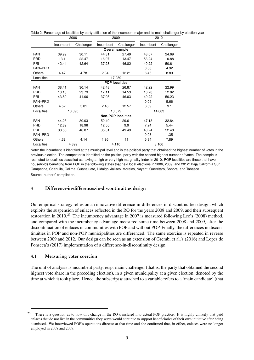<span id="page-10-0"></span>

|  |  | Table 2: Percentage of localities by party affiliation of the incumbent major and its main challenger by election year |
|--|--|------------------------------------------------------------------------------------------------------------------------|
|--|--|------------------------------------------------------------------------------------------------------------------------|

|               | 2006                      |            | 2009      |                       | 2012      |            |
|---------------|---------------------------|------------|-----------|-----------------------|-----------|------------|
|               | Incumbent                 | Challenger | Incumbent | Challenger            | Incumbent | Challenger |
|               | <b>Overall sample</b>     |            |           |                       |           |            |
| <b>PAN</b>    | 39.99                     | 30.11      | 44.31     | 27.49                 | 43.07     | 24.69      |
| <b>PRD</b>    | 13.1                      | 22.47      | 16.07     | 13.47                 | 53.24     | 10.88      |
| PRI           | 42.44                     | 42.64      | 37.28     | 46.82                 | 40.22     | 50.61      |
| PAN-PRD       |                           |            |           |                       | 0.08      | 4.92       |
| <b>Others</b> | 4.47                      | 4.78       | 2.34      | 12.21                 | 6.46      | 8.89       |
| Localities    |                           |            |           | 17,989                |           |            |
|               |                           |            |           | <b>POP localities</b> |           |            |
| <b>PAN</b>    | 38.41                     | 30.14      | 42.48     | 26.87                 | 42.22     | 22.99      |
| <b>PRD</b>    | 13.18                     | 23.79      | 17.11     | 14.53                 | 10.78     | 12.02      |
| PRI           | 43.89                     | 41.06      | 37.95     | 46.03                 | 40.22     | 50.23      |
| PAN-PRD       |                           |            |           |                       | 0.09      | 5.66       |
| Others        | 4.52                      | 5.01       | 2.46      | 12.57                 | 6.69      | 9.1        |
| Localities    | 13,090<br>13,879          |            |           | 14,883                |           |            |
|               | <b>Non-POP localities</b> |            |           |                       |           |            |
| <b>PAN</b>    | 44.23                     | 30.03      | 50.49     | 29.61                 | 47.13     | 32.84      |
| <b>PRD</b>    | 12.89                     | 18.96      | 12.55     | 9.9                   | 7.24      | 5.44       |
| PRI           | 38.56                     | 46.87      | 35.01     | 49.49                 | 40.24     | 52.48      |
| PAN-PRD       |                           |            |           |                       | 0.03      | 1.35       |
| <b>Others</b> | 4.32                      | 4.14       | 1.95      | 11                    | 5.34      | 7.89       |
| Localities    | 4,899                     |            | 4,110     |                       | 3,106     |            |

Note: the incumbent is identified at the municipal level and is the political party that obtained the highest number of votes in the previous election. The competitor is identified as the political party with the second highest number of votes. The sample is restricted to localities classified as having a high or very high marginality index in 2010. POP localities are those that have households benefiting from POP in the following states that held local elections in 2006, 2009, and 2012: Baja California Sur, Campeche, Coahuila, Colima, Guanajuato, Hidalgo, Jalisco, Morelos, Nayarit, Querétaro, Sonora, and Tabasco. Source: authors' compilation.

## 4 Difference-in-differences-in-discontinuities design

Our empirical strategy relies on an innovative difference-in-differences-in-discontinuities design, which exploits the suspension of enlaces reflected in the RO for the years 2008 and 2009, and their subsequent restoration in 2010.<sup>[23](#page-2-0)</sup> The incumbency advantage in 2007 is measured following Lee's (2008) method, and compared with the incumbency advantage measured some time between 2008 and 2009, after the discontinuation of enlaces in communities with POP and without POP. Finally, the differences in discontinuities in POP and non-POP municipalities are differenced. The same exercise is repeated in reverse between 2009 and 2012. Our design can be seen as an extension of Grembi et al.'s (2016) and Lopes de Fonseca's (2017) implementation of a difference-in-discontinuity design.

## 4.1 Measuring voter coercion

The unit of analysis is incumbent party, resp. main challenger (that is, the party that obtained the second highest vote share in the preceding election), in a given municipality at a given election, denoted by the time at which it took place. Hence, the subscript *it* attached to a variable refers to a 'main candidate' (that

 $23$  There is a question as to how this change in the RO translated into actual POP practice. It is highly unlikely that paid enlaces that do not live in the communities they serve would continue to support beneficiaries of their own initiative after being dismissed. We interviewed POP's operations director at that time and she confirmed that, in effect, enlaces were no longer employed in 2008 and 2009.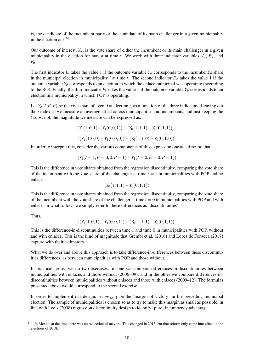is, the candidate of the incumbent party or the candidate of its main challenger in a given municipality in the election at *t*. [24](#page-2-0)

Our outcome of interest,  $Y_{it}$ , is the vote share of either the incumbent or its main challenger in a given municipality in the election for mayor at time *t*. We work with three indicator variables,  $I_{it}$ ,  $E_{it}$ , and  $P_{it}$ .

The first indicator  $I_{it}$  takes the value 1 if the outcome variable  $Y_{it}$  corresponds to the incumbent's share in the municipal election in municipality *i* at time *t*. The second indicator  $E_i$  takes the value 1 if the outcome variable  $Y_{it}$  corresponds to an election in which the enlace municipal was operating (according to the RO). Finally, the third indicator  $P_{it}$  takes the value 1 if the outcome variable  $Y_{it}$  corresponds to an election in a municipality in which POP is operating.

Let  $Y_i(I, E, P)$  be the vote share of agent *i* at election *t*, as a function of the three indicators. Leaving out the *i* index as we measure an average effect across municipalities and incumbents, and just keeping the *t* subscript, the magnitude we measure can be expressed as:

$$
[(Y_1(1,0,1) - Y_1(0,0,1)) - (Y_0(1,1,1) - Y_0(0,1,1))] -
$$
  

$$
[(Y_1(1,0,0) - Y_1(0,0,0)) - (Y_0(1,1,0) - Y_0(0,1,0))]
$$

In order to interpret this, consider the various components of this expression one at a time, so that

$$
(Y_1(I = 1, E = 0, 0, P = 1) - Y_1(I = 0, E = 0, P = 1))
$$

This is the difference in vote shares obtained from the regression discontinuity, comparing the vote share of the incumbent with the vote share of the challenger at time  $t = 1$  in municipalities with POP and no enlace.

$$
(Y_0(1,1,1)-Y_0(0,1,1))
$$

This is the difference in vote shares obtained from the regression discontinuity, comparing the vote share of the incumbent with the vote share of the challenger at time  $t = 0$  in municipalities with POP and with enlace. In what follows we simply refer to these differences as 'discontinuities'.

Thus,

$$
[(Y_1(1,0,1)-Y_1(0,0,1))-(Y_0(1,1,1)-Y_0(0,1,1))]
$$

This is the difference-in-discontinuities between time 1 and time 0 in municipalities with POP, without and with enlaces. This is the kind of magnitude that Grembi et al. (2016) and Lopes de Fonseca (2017) capture with their estimators.

What we do over and above this approach is to take difference-in-differences between these discontinuities differences, as between municipalities with POP and those without.

In practical terms, we do two exercises: in one we compare differences-in-discontinuities between municipalities with enlaces and those without (2006–09), and in the other we compare differences-indiscontinuities between municipalities without enlaces and those with enlaces (2009–12). The formulas presented above would correspond to the second exercise.

In order to implement our design, let *mvi*,*t*−<sup>1</sup> be the 'margin of victory' in the preceding municipal election. The sample of municipalities is chosen so as to try to make this margin as small as possible, in line with Lee's (2008) regression discontinuity design to identify 'pure' incumbency advantage.

<sup>&</sup>lt;sup>24</sup> In Mexico at the time there was no reelection of mayors. This changed in 2013, but that reform only came into effect in the elections of 2018.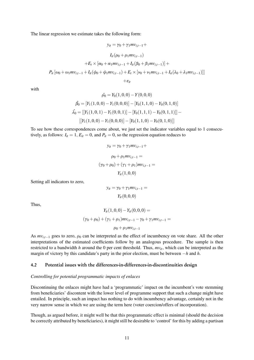The linear regression we estimate takes the following form:

$$
y_{it} = \gamma_0 + \gamma_1 m v_{i,t-1} +
$$
  
\n
$$
I_{it}(\rho_0 + \rho_1 m v_{i,t-1})
$$
  
\n
$$
+ E_t \times [\alpha_0 + \alpha_1 m v_{i,t-1} + I_{it}(\beta_0 + \beta_1 m v_{i,t-1})] +
$$
  
\n
$$
P_{it}[\omega_0 + \omega_1 m v_{i,t-1} + I_{it}(\psi_0 + \psi_1 m v_{i,t-1}) + E_t \times [\nu_0 + \nu_1 m v_{i,t-1} + I_{it}(\lambda_0 + \lambda_1 m v_{i,t-1})]]
$$
  
\n
$$
+ \varepsilon_{it}
$$

with

$$
\hat{\rho}_0 = Y_0(1,0,0) - Y(0,0,0)
$$

$$
\hat{\beta}_0 = [Y_1(1,0,0) - Y_1(0,0,0)] - [Y_0(1,1,0) - Y_0(0,1,0)]
$$

$$
\hat{\lambda}_0 = [[Y_1(1,0,1) - Y_1(0,0,1)] - [Y_0(1,1,1) - Y_0(0,1,1)]] - [[Y_1(1,0,0) - Y_1(0,0,0)] - [Y_0(1,1,0) - Y_0(0,1,0)]]
$$

To see how these correspondences come about, we just set the indicator variables equal to 1 consecutively, as follows:  $I_{it} = 1$ ,  $E_{it} = 0$ , and  $P_{it} = 0$ , so the regression equation reduces to

$$
y_{it} = \gamma_0 + \gamma_1 m v_{i,t-1} +
$$
  
\n
$$
\rho_0 + \rho_1 m v_{i,t-1} =
$$
  
\n
$$
(\gamma_0 + \rho_0) + (\gamma_1 + \rho_1) m v_{i,t-1} =
$$
  
\n
$$
Y_{it}(1,0,0)
$$

Setting all indicators to zero,

$$
y_{it} = \gamma_0 + \gamma_1 m v_{i,t-1} =
$$
  

$$
Y_{it}(0,0,0)
$$

Thus,

$$
Y_{it}(1,0,0) - Y_{it}(0,0,0) =
$$
  

$$
(\gamma_0 + \rho_0) + (\gamma_1 + \rho_1)mv_{i,t-1} - \gamma_0 + \gamma_1mv_{i,t-1} =
$$
  

$$
\rho_0 + \rho_1mv_{i,t-1}
$$

As  $mv_{i,t-1}$  goes to zero,  $\rho_0$  can be interpreted as the effect of incumbency on vote share. All the other interpretations of the estimated coefficients follow by an analogous procedure. The sample is then restricted to a bandwidth *h* around the 0 per cent threshold. Thus,  $mv_i$ , which can be interpreted as the margin of victory by this candidate's party in the prior election, must be between −*h* and *h*.

#### 4.2 Potential issues with the differences-in-differences-in-discontinuities design

#### *Controlling for potential programmatic impacts of enlaces*

Discontinuing the enlaces might have had a 'programmatic' impact on the incumbent's vote stemming from beneficiaries' discontent with the lower level of programme support that such a change might have entailed. In principle, such an impact has nothing to do with incumbency advantage, certainly not in the very narrow sense in which we are using the term here (voter coercion/offers of incorporation).

Though, as argued before, it might well be that this programmatic effect is minimal (should the decision be correctly attributed by beneficiaries), it might still be desirable to 'control' for this by adding a partisan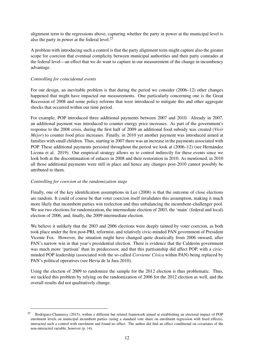alignment term to the regressions above, capturing whether the party in power at the municipal level is also the party in power at the federal level.[25](#page-2-0)

A problem with introducing such a control is that the party alignment term might capture also the greater scope for coercion that eventual complicity between municipal authorities and their party comrades at the federal level—an effect that we do want to capture in our measurement of the change in incumbency advantage.

## *Controlling for coincidental events*

For our design, an inevitable problem is that during the period we consider (2006–12) other changes happened that might have impacted our measurements. One particularly concerning one is the Great Recession of 2008 and some policy reforms that were introduced to mitigate this and other aggregate shocks that occurred within our time period.

For example, POP introduced three additional payments between 2007 and 2010. Already in 2007, an additional payment was introduced to counter energy price increases. As part of the government's response to the 2008 crisis, during the first half of 2009 an additional food subsidy was created (*Vivir Mejor*) to counter food price increases. Finally, in 2010 yet another payment was introduced aimed at families with small children. Thus, starting in 2007 there was an increase in the payments associated with POP. These additional payments persisted throughout the period we look at (2006–12) (see Hernández Licona et al. 2019). Our empirical strategy allows us to control indirectly for these events since we look both at the discontinuation of enlaces in 2008 and their restoration in 2010. As mentioned, in 2010 all those additional payments were still in place and hence any changes post-2010 cannot possibly be attributed to them.

## *Controlling for coercion at the randomization stage*

Finally, one of the key identification assumptions in Lee (2008) is that the outcome of close elections are random. It could of course be that voter coercion itself invalidates this assumption, making it much more likely that incumbent parties win reelection and thus unbalancing the incumbent–challenger pool. We use two elections for randomization, the intermediate election of 2003, the 'main' (federal and local) election of 2006, and, finally, the 2009 intermediate election.

We believe it unlikely that the 2003 and 2006 elections were deeply tainted by voter coercion, as both took place under the first post-PRI, reformist, and relatively civic-minded PAN government of President Vicente Fox. However, the situation might have changed quite drastically from 2006 onward, after PAN's narrow win in that year's presidential election. There is evidence that the Calderón government was much more 'partisan' than its predecessor, and that this partisanship did affect POP, with a civicminded POP leadership (associated with the so-called *Corriente Cívica* within PAN) being replaced by PAN's political operatives (see Hevia de la Jara 2010).

Using the election of 2009 to randomize the sample for the 2012 election is thus problematic. Thus, we tackled this problem by relying on the randomization of 2006 for the 2012 election as well, and the overall results did not qualitatively change.

<sup>25</sup> Rodríguez-Chamussy (2015), within a different but related framework aimed at establishing an electoral impact of POP enrolment levels on municipal incumbent parties (using a standard vote share on enrolment regression with fixed effects), interacted such a control with enrolment and found no effect. The author did find an effect conditional on covariates of the non-interacted variable, however (p. 14).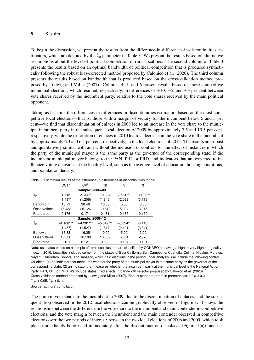#### 5 Results

To begin the discussion, we present the results from the difference-in-differences-in-discontinuities estimators, which are denoted by the  $\hat{\lambda}_0$  parameter in Table [3.](#page-14-0) We present the results based on alternative assumptions about the level of political competition in rural localities. The second column of Table [3](#page-14-0) presents the results based on an optimal bandwidth of political competition that is produced synthetically following the robust bias-corrected method proposed by Calonico et al. (2020). The third column presents the results based on bandwidth that is produced based on the cross-validation method proposed by Ludwig and Miller (2007). Columns 4, 5, and 6 present results based on more competitive municipal elections, which resulted, respectively, in differences of  $\pm 10$ ,  $\pm 5$ , and  $\pm 3$  per cent between vote shares received by the incumbent party, relative to the vote shares received by the main political opponent.

Taking as baseline the differences-in-differences-in-discontinuities estimators based on the most competitive local elections—that is, those with a margin of victory for the incumbent below 5 and 3 per cent—we find that discontinuation of enlaces in 2008 led to an increase in the vote share to the municipal incumbent party in the subsequent local election of 2009 by approximately 7.5 and 10.5 per cent, respectively, while the restoration of enlaces in 2010 led to a decrease in the vote share to the incumbent by approximately 6.3 and 6.4 per cent, respectively, in the local elections of 2012. The results are robust and qualitatively similar with and without the inclusion of controls for the effect of instances in which the party of the municipal mayor is the same party as the governor of the corresponding state, if the incumbent municipal mayor belongs to the PAN, PRI, or PRD, and indicators that are expected to influence voting decisions at the locality level, such as the average level of education, housing conditions, and population density.

|                   | $CCT^a$     | $CV^b$          | 10          | 5          | 3         |
|-------------------|-------------|-----------------|-------------|------------|-----------|
|                   |             | Sample: 2006-09 |             |            |           |
| $\hat{\lambda}_0$ | 1.715       | $2.644**$       | $-0.304$    | 7.561***   | 10.487*** |
|                   | (1.487)     | (1.206)         | (1.845)     | (2.529)    | (3.118)   |
| <b>Bandwidth</b>  | 16.79       | 30.48           | 10.00       | 5.00       | 3.00      |
| Observations      | 16,432      | 25,126          | 10,612      | 5.094      | 3,016     |
| R-squared         | 0.176       | 0.171           | 0.181       | 0.187      | 0.179     |
| Sample: 2009-12   |             |                 |             |            |           |
| $\hat{\lambda}_0$ | $-4.168***$ | $-4.281***$     | $-5.642***$ | $-6.324**$ | $-6.446*$ |
|                   | (1.487)     | (1.527)         | (1.817)     | (2.491)    | (3.341)   |
| <b>Bandwidth</b>  | 16.83       | 16.25           | 10.00       | 5.00       | 3.00      |
| Observations      | 16,636      | 16,100          | 10,362      | 5.064      | 2,976     |
| R-squared         | 0.121       | 0.121           | 0.133       | 0.164      | 0.181     |

<span id="page-14-0"></span>

|  | Table 3: Estimation results of the difference-in-differences-in-discontinuities model |
|--|---------------------------------------------------------------------------------------|
|  |                                                                                       |

Note: estimates based on a sample of rural localities that are classified by CONAPO as having a high or very high marginality index in 2010. Localities included come from the states of Baja California Sur, Campeche, Coahuila, Colima, Hidalgo, Morelos, Nayarit, Querétaro, Sonora, and Tabasco, which held elections in the period under analysis. We include the following control variables: (1) an indicator that measures whether the party of the municipal mayor is the same party as the governor of the corresponding state; (2) an indicator that measures whether the incumbent party at the municipal level is the National Action Party, PAN, PRI, or PRD. We include states fixed effects. *<sup>a</sup>* bandwidth selector proposed by Calonico et al. (2020). *<sup>b</sup>* Cross-validation method proposed by Ludwig and Miller (2007). Robust standard errors in parentheses. \*\*\* *p* < 0.01, \*\*  $p < 0.05$ ,  $\frac{*}{p} < 0.1$ .

Source: authors' compilation.

The jump in vote shares to the incumbent in 2009, due to the discontinuation of enlaces, and the subsequent drop observed in the 2012 local elections can be graphically observed in Figure [1.](#page-15-0) It shows the relationship between the difference in the vote share to the incumbent and main contender in competitive elections, and the vote margin between the incumbent and the main contender observed in competitive elections over the two periods of interest: between the two local elections of 2006 and 2009, which took place immediately before and immediately after the discontinuation of enlaces (Figure [1\(](#page-15-0)a)), and be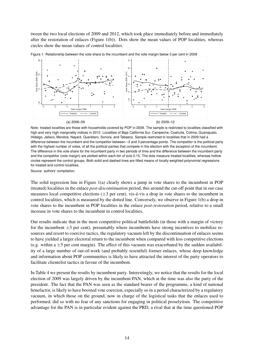tween the two local elections of 2009 and 2012, which took place immediately before and immediately after the restoration of enlaces (Figure [1\(](#page-15-0)b)). Dots show the mean values of POP localities, whereas circles show the mean values of control localities.



<span id="page-15-0"></span>Figure 1: Relationship between the vote share to the incumbent and the vote margin below 3 per cent in 2009

Note: treated localities are those with households covered by POP in 2009. The sample is restricted to localities classified with high and very high marginality indices in 2010. Localities of Baja California Sur, Campeche, Coahuila, Colima, Guanajuato, Hidalgo, Jalisco, Morelos, Nayarit, Querétaro, Sonora, and Tabasco. Sample restricted to localities that in 2009 had a difference between the incumbent and the competitor between –3 and 3 percentage points. The competitor is the political party with the highest number of votes, of all the political parties that compete in the election with the exception of the incumbent. The difference in the vote share for the incumbent party in two periods of time and the difference between the incumbent party and the competitor (vote margin) are plotted within each bin of size 0.15. The dots measure treated localities, whereas hollow circles represent the control groups. Both solid and dashed lines are fitted means of locally weighted polynomial regressions for treated and control localities.

Source: authors' compilation.

The solid regression line in Figure [1\(](#page-15-0)a) clearly shows a jump in vote shares to the incumbent in POP (treated) localities in the enlace *post-discontinuation* period, this around the cut-off point that in our case measures local competitive elections  $(\pm 3$  per cent), vis-á-vis a drop in vote shares to the incumbent in control localities, which is measured by the dotted line. Conversely, we observe in Figure [1\(](#page-15-0)b) a drop in vote shares to the incumbent in POP localities in the enlace *post-restoration* period, relative to a small increase in vote shares to the incumbent in control localities.

Our results indicate that in the most competitive political battlefields (in those with a margin of victory for the incumbent  $\pm 3$  per cent), presumably where incumbents have strong incentives to mobilize resources and resort to coercive tactics, the regulatory vacuum left by the discontinuation of enlaces seems to have yielded a larger electoral return to the incumbent when compared with less competitive elections (e.g. within a  $\pm$ 5 per cent margin). The effect of this vacuum was exacerbated by the sudden availability of a large number of out-of-work (and probably resentful) former enlaces, whose deep knowledge and information about POP communities is likely to have attracted the interest of the party operators to facilitate clientelist tactics in favour of the incumbent.

In Table [4](#page-16-0) we present the results by incumbent party. Interestingly, we notice that the results for the local election of 2009 was largely driven by the incumbent PAN, which at the time was also the party of the president. The fact that the PAN was seen as the standard bearer of the programme, a kind of national benefactor, is likely to have boosted vote coercion, especially so in a period characterized by a regulatory vacuum, in which those on the ground, now in charge of the logistical tasks that the enlaces used to performed, did so with no fear of any sanctions for engaging in political proselytism. The competitive advantage for the PAN is in particular evident against the PRD, a rival that at the time questioned POP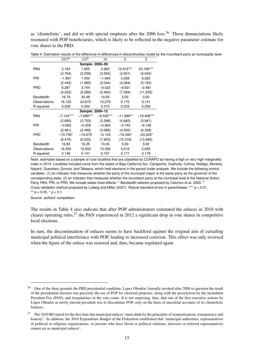as 'clientelistic', and did so with special emphasis after the 2006 loss.[26](#page-2-0) Those denunciations likely resonated with POP beneficiaries, which is likely to be reflected in the negative parameter estimate for vote shares to the PRD.

|                  | $CCT^a$     | $CV^{\overline{b}}$ | 10          | 5           | 3            |
|------------------|-------------|---------------------|-------------|-------------|--------------|
|                  |             | Sample: 2006-09     |             |             |              |
| <b>PAN</b>       | 2.163       | 1.905               | 2.962       | 12.916***   | 23.196***    |
|                  | (2.764)     | (2.039)             | (3.550)     | (4.951)     | (6.043)      |
| PRI              | $-1.891$    | 1.450               | $-1.945$    | 5.208       | 6.262        |
|                  | (2.442)     | (1.985)             | (3.044)     | (4.084)     | (5.183)      |
| <b>PRD</b>       | 6.287       | 3.744               | $-0.023$    | $-9.631$    | $-2.481$     |
|                  | (4.233)     | (3.289)             | (5.463)     | (7.394)     | (11.205)     |
| <b>Bandwidth</b> | 16.79       | 30.48               | 10.00       | 5.00        | 3.00         |
| Observations     | 16,122      | 24,672              | 10,279      | 5,170       | 3,131        |
| R-squared        | 0.209       | 0.204               | 0.215       | 0.223       | 0.259        |
|                  |             | Sample: 2009-12     |             |             |              |
| <b>PAN</b>       | $-7.143***$ | $-7.689***$         | $-9.555***$ | $-11.989**$ | $-19.408***$ |
|                  | (2.690)     | (2.753)             | (3.398)     | (4.682)     | (5.941)      |
| PRI              | $-0.652$    | $-0.359$            | $-0.904$    | $-0.742$    | $-6.106$     |
|                  | (2.461)     | (2.499)             | (3.086)     | (4.505)     | (6.308)      |
| <b>PRD</b>       | $-10.736*$  | $-10.679$           | $-5.133$    | $-19.340*$  | $-23.326*$   |
|                  | (6.475)     | (6.533)             | (7.953)     | (10.316)    | (13.490)     |
| <b>Bandwidth</b> | 16.83       | 16.25               | 10.00       | 5.00        | 3.00         |
| Observations     | 16,350      | 15,933              | 10,356      | 5,016       | 2,945        |
| R-squared        | 0.146       | 0.147               | 0.157       | 0.177       | 0.179        |

<span id="page-16-0"></span>Table 4: Estimation results of the difference-in-differences-in-discontinuities model by the incumbent party at municipality level

Note: estimates based on a sample of rural localities that are classified by CONAPO as having a high or very high marginality index in 2010. Localities included come from the states of Baja California Sur, Campeche, Coahuila, Colima, Hidalgo, Morelos, Nayarit, Querétaro, Sonora, and Tabasco, which held elections in the period under analysis. We include the following control variables: (1) an indicator that measures whether the party of the municipal mayor is the same party as the governor of the corresponding state; (2) an indicator that measures whether the incumbent party at the municipal level is the National Action Party, PAN, PRI, or PRD. We include states fixed effects. <sup>*a*</sup> Bandwidth selector proposed by Calonico et al. 2020. <sup>*b*</sup> Cross-validation method proposed by Ludwig and Miller (2007). Robust standard errors in parentheses. \*\*\* *p* < 0.01, \*\*  $p < 0.05$ , \*  $p < 0.1$ .

Source: authors' compilation.

The results in Table [4](#page-16-0) also indicate that after POP administrators reinstated the enlaces in 2010 with clearer operating rules,  $27$  the PAN experienced in 2012 a significant drop in vote shares in competitive local elections.

In sum, the discontinuation of enlaces seems to have backfired against the original aim of curtailing municipal political interference with POP, leading to increased coercion. This effect was only reversed when the figure of the enlace was restored and, thus, became regulated again.

<sup>&</sup>lt;sup>26</sup> One of the three grounds the PRD presidential candidate, Lopez Obrador, formally invoked after 2006 to question the result of the presidential election was precisely the use of POP for electoral purposes, along with the proselytism by the incumbent President Fox (PAN), and irregularities in the vote count. It is not surprising, thus, that one of the first executive actions by Lopez Obrador as newly elected president was to discontinue POP, only on the basis of anecdotal accounts of its clientelistic features.

<sup>&</sup>lt;sup>27</sup> The 2010 RO stated for the first time that municipal enlaces 'must abide by the principles of nonpartisanism, transparency and honesty'. In addition, the 2010 Expenditure Budget of the Federation established that 'municipal authorities, representatives of political or religious organizations, or persons who have blood or political relations, directors or referred representatives cannot act as municipal enlaces'.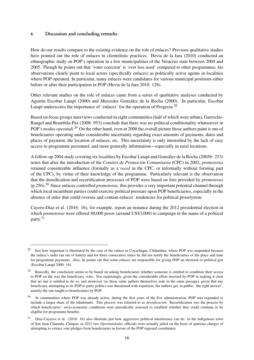## 6 Discussion and concluding remarks

How do our results compare to the existing evidence on the role of enlaces? Previous qualitative studies have pointed out the role of enlaces in clientelistic practices. Hevia de la Jara (2010) conducted an ethnographic study on POP's operation in a few municipalities of the Veracruz state between 2004 and 2005. Though he points out that 'voter coercion' is 'ever less used' compared to other programmes, his observations clearly point to local actors (specifically enlaces) as politically active agents in localities where POP operated. In particular, many enlaces were candidates for various municipal positions either before or after their participation in POP (Hevia de la Jara 2010: 128).

Other relevant studies on the role of enlaces came from a series of qualitative analyses conducted by Agustín Escobar Latapí (2000) and Mercedes González de la Rocha (2000). In particular, Escobar Latapí underscores the importance of 'enlaces' for the operation of Progresa.<sup>[28](#page-2-0)</sup>

Based on focus groups interviews conducted in eight communities (half of which were urban), Garrocho-Rangel and Brambila-Paz (2008: 953) conclude that there was no political conditionality whatsoever in POP's *modus operandi*. [29](#page-2-0) On the other hand, even in 2008 the overall picture those authors paint is one of beneficiaries operating under considerable uncertainty regarding exact amounts of payments, dates and places of payment, the location of enlaces, etc. This uncertainty is only intensified by the lack of easy access to programme personnel, and more generally information—especially in rural locations.

A follow-up 2004 study covering six localities by Escobar Latapí and González de la Rocha (2005b: 253) notes that after the introduction of the *Comités de Promoción Comunitaria* (CPC) in 2002, *promotoras* retained considerable influence (formally as a *vocal* in the CPC, or informally without forming part of the CPC), by virtue of their knowledge of the programme. Particularly relevant is the observation that the densification and recertification processes of POP were based on lists provided by *promotoras* (p.256).[30](#page-2-0) Since enlaces controlled *promotoras*, this provides a very important potential channel through which local incumbent parties could exercise political pressure upon POP beneficiaries, especially in the absence of rules that could oversee and contain enlaces' tendencies for political proselytism.

Cayero-Diaz et al. (2016: 16), for example, report an instance during the 2012 presidential election in which *promotoras* were offered 40,000 pesos (around US\$3,000) to campaign in the name of a political party.[31](#page-2-0)

<sup>&</sup>lt;sup>28</sup> Just how important is illustrated by the case of the enlace in Coyachique, Chihuahua, where POP was suspended because the enlace's radio ran out of battery and for three consecutive times he did not notify the beneficiaries of the place and time for programme payments. Also, he points out that some enlaces are responsible for giving POP an electoral or political gist (Escobar Latapí 2000: 16).

<sup>&</sup>lt;sup>29</sup> Basically, the conclusion seems to be based on asking beneficiaries whether someone is entitled to condition their access to POP on the way the beneficiary votes. Not surprisingly, given the considerable effort invested by POP in making it clear that no one is entitled to do so, and moreover (as those same authors themselves note in the same passage), given that any beneficiary attempting to tie POP to party politics was threatened with expulsion, the authors get, in public, 'the right answer', namely the one taught to beneficiaries by POP.

<sup>&</sup>lt;sup>30</sup> In communities where POP was already active, during the first years of the Fox administration, POP was expanded to include a larger share of the inhabitants. This process was referred to as *densificación*. Recertification was the process by which beneficiaries' socio-economic conditions were periodically assessed to establish whether they could continue to be eligible for programme benefits.

<sup>&</sup>lt;sup>31</sup> Diaz-Cayeros et al. (2016: 16) also illustrate just how aggressive political interference can be: in the indigenous town of San Juan Chamula, Chiapas, in 2012 two *Oportunidades* officials were actually jailed on the basis of spurious charges of attempting to extract vote pledges from beneficiaries in favour of the POP regional coordinator.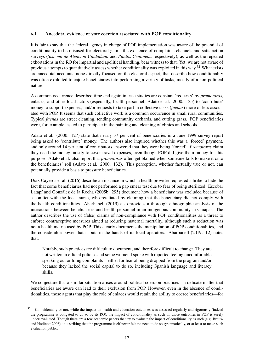# 6.1 Anecdotal evidence of vote coercion associated with POP conditionality

It is fair to say that the federal agency in charge of POP implementation was aware of the potential of conditionality to be misused for electoral gain—the existence of complaints channels and satisfaction surveys (*Sistema de Atención Ciudadana* and *Puntos Centinela*, respectively), as well as the repeated exhortations in the RO for impartial and apolitical handling, bear witness to that. Yet, we are not aware of previous attempts to quantitatively assess whether conditionality was exploited in this way.[32](#page-2-0) What exists are anecdotal accounts, none directly focused on the electoral aspect, that describe how conditionality was often exploited to cajole beneficiaries into performing a variety of tasks, mostly of a non-political nature.

A common occurrence described time and again in case studies are constant 'requests' by *promotoras*, enlaces, and other local actors (especially, health personnel; Adato et al. 2000: 135) to 'contribute' money to support expenses, and/or requests to take part in collective tasks (*faenas*) more or less associated with POP. It seems that such collective work is a common occurrence in small rural communities. Typical *faenas* are street cleaning, tending community orchards, and cutting grass. POP beneficiaries were, for example, asked to participate in the painting and cleaning of clinics and schools.

Adato et al. (2000: 127) state that nearly 37 per cent of beneficiaries in a June 1999 survey report being asked to 'contribute' money. The authors also inquired whether this was a 'forced' payment, and only around 14 per cent of contributors answered that they were being 'forced'. *Promotoras* claim they need the money mostly to cover travel expenses, even though POP did give them money for this purpose. Adato et al. also report that *promotoras* often get blamed when someone fails to make it onto the beneficiaries' roll (Adato et al. 2000: 132). This perception, whether factually true or not, can potentially provide a basis to pressure beneficiaries.

Diaz-Cayeros et al. (2016) describe an instance in which a health provider requested a bribe to hide the fact that some beneficiaries had not performed a pap smear test due to fear of being sterilized. Escobar Latapí and González de la Rocha (2005b: 295) document how a beneficiary was excluded because of a conflict with the local nurse, who retaliated by claiming that the beneficiary did not comply with the health conditionalities. Abarbanell (2019) also provides a thorough ethnographic analysis of the interactions between beneficiaries and health personnel in an indigenous community in Chiapas. The author describes the use of (false) claims of non-compliance with POP conditionalities as a threat to enforce contraceptive measures aimed at reducing maternal mortality, although such a reduction was not a health metric used by POP. This clearly documents the manipulation of POP conditionalities, and the considerable power that it puts in the hands of its local operators. Abarbanell (2019: 12) notes that,

Notably, such practices are difficult to document, and therefore difficult to change. They are not written in official policies and some women I spoke with reported feeling uncomfortable speaking out or filing complaints—either for fear of being dropped from the program and/or because they lacked the social capital to do so, including Spanish language and literacy skills.

We conjecture that a similar situation arises around political coercion practices—a delicate matter that beneficiaries are aware can lead to their exclusion from POP. However, even in the absence of conditionalities, those agents that play the role of enlaces would retain the ability to coerce beneficiaries—for

 $32$  Coincidentally or not, while the impact on health and education outcomes was assessed regularly and rigorously (indeed the programme is obligated to do so by its RO), the impact of conditionality as such on those outcomes in POP is surely under-evaluated. Though there are a few academic papers that try to evaluate the impact of conditionality as such (e.g. Brouw and Hodinott 2008), it is striking that the programme itself never felt the need to do so systematically, or at least to make such evaluation public.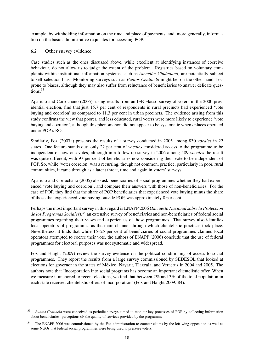example, by withholding information on the time and place of payments, and, more generally, information on the basic administrative requisites for accessing POP.

# 6.2 Other survey evidence

Case studies such as the ones discussed above, while excellent at identifying instances of coercive behaviour, do not allow us to judge the extent of the problem. Registries based on voluntary complaints within institutional information systems, such as *Atención Ciudadana*, are potentially subject to self-selection bias. Monitoring surveys such as *Puntos Centinela* might be, on the other hand, less prone to biases, although they may also suffer from reluctance of beneficiaries to answer delicate ques-tions.<sup>[33](#page-2-0)</sup>

Aparicio and Corrochano (2005), using results from an IFE-Flacso survey of voters in the 2000 presidential election, find that just 15.7 per cent of respondents in rural precincts had experienced 'vote buying and coercion' as compared to 11.3 per cent in urban precincts. The evidence arising from this study confirms the view that poorer, and less educated, rural voters were more likely to experience 'vote buying and coercion', although this phenomenon did not appear to be systematic when enlaces operated under POP's RO.

Similarly, Fox (2007a) presents the results of a survey conducted in 2005 among 830 *vocales* in 22 states. One feature stands out: only 22 per cent of *vocales* considered access to the programme to be independent of how one votes, although in a follow-up survey in 2006 among 589 *vocales* the result was quite different, with 97 per cent of beneficiaries now considering their vote to be independent of POP. So, while 'voter coercion' was a recurring, though not common, practice, particularly in poor, rural communities, it came through as a latent threat, time and again in voters' surveys.

Aparicio and Corrachano (2005) also ask beneficiaries of social programmes whether they had experienced 'vote buying and coercion', and compare their answers with those of non-beneficiaries. For the case of POP, they find that the share of POP beneficiaries that experienced vote buying minus the share of those that experienced vote buying outside POP, was approximately 8 per cent.

Perhaps the most important survey in this regard is ENAPP 2006 (*Encuesta Nacional sobre la Protección* de los Programas Sociales),<sup>[34](#page-2-0)</sup> an extensive survey of beneficiaries and non-beneficiaries of federal social programmes regarding their views and experiences of those programmes. That survey also identifies local operators of programmes as the main channel through which clientelistic practices took place. Nevertheless, it finds that while 15–25 per cent of beneficiaries of social programmes claimed local operators attempted to coerce their vote, the authors of ENAPP (2006) conclude that the use of federal programmes for electoral purposes was not systematic and widespread.

Fox and Haight (2009) review the survey evidence on the political conditioning of access to social programmes. They report the results from a large survey commissioned by SEDESOL that looked at elections for governor in the states of México, Nayarit, Tlaxcala, and Veracruz in 2004 and 2005. The authors note that 'Incorporation into social programs has become an important clientelistic offer. When we measure it anchored to recent elections, we find that between 2% and 3% of the total population in each state received clientelistic offers of incorporation' (Fox and Haight 2009: 84).

<sup>33</sup> *Puntos Centinela* were conceived as periodic surveys aimed to monitor key processes of POP by collecting information about beneficiaries' perceptions oF the quality of services provided by the programme.

<sup>&</sup>lt;sup>34</sup> The ENAPP 2006 was commissioned by the Fox administration to counter claims by the left-wing opposition as well as some NGOs that federal social programmes were being used to pressure voters.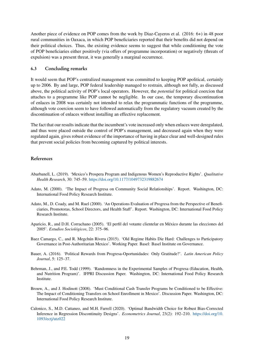Another piece of evidence on POP comes from the work by Diaz-Cayeros et al. (2016: 6+) in 48 poor rural communities in Oaxaca, in which POP beneficiaries reported that their benefits did not depend on their political choices. Thus, the existing evidence seems to suggest that while conditioning the vote of POP beneficiaries either positively (via offers of programme incorporation) or negatively (threats of expulsion) was a present threat, it was generally a marginal occurrence.

## 6.3 Concluding remarks

It would seem that POP's centralized management was committed to keeping POP apolitical, certainly up to 2006. By and large, POP federal leadership managed to restrain, although not fully, as discussed above, the political activity of POP's local operators. However, the *potential* for political coercion that attaches to a programme like POP cannot be negligible. In our case, the temporary discontinuation of enlaces in 2008 was certainly not intended to relax the programmatic functions of the programme, although vote coercion seem to have followed automatically from the regulatory vacuum created by the discontinuation of enlaces without installing an effective replacement.

The fact that our results indicate that the incumbent's vote increased only when enlaces were deregulated, and thus were placed outside the control of POP's management, and decreased again when they were regulated again, gives robust evidence of the importance of having in place clear and well-designed rules that prevent social policies from becoming captured by political interests.

# References

- Abarbanell, L. (2019). 'Mexico's Prospera Program and Indigenous Women's Reproductive Rights'. *Qualitative Health Research*, 30: 745–59. <https://doi.org/10.1177/1049732319882674>
- Adato, M. (2000). 'The Impact of Progresa on Community Social Relationships'. Report. Washington, DC: International Food Policy Research Institute.
- Adato, M., D. Coady, and M. Ruel (2000). 'An Operations Evaluation of Progresa from the Perspective of Beneficiaries, Promotoras, School Directors, and Health Staff'. Report. Washington, DC: International Food Policy Research Institute.
- Aparicio, R., and D.H. Corrachano (2005). 'El perfil del votante clientelar en México durante las elecciones del 2005'. *Estudios Sociológicos*, 22: 375–96.
- Baez Camargo, C., and R. Megchún Rivera (2015). 'Old Regime Habits Die Hard: Challenges to Participatory Governance in Post-Authoritarian Mexico'. Working Paper. Basel: Basel Institute on Governance.
- Bauer, A. (2016). 'Political Rewards from Progresa-Oportunidades: Only Gratitude?'. *Latin American Policy Journal*, 5: 125–37.
- Behrman, J., and P.E. Todd (1999). 'Randomness in the Experimental Samples of Progresa (Education, Health, and Nutrition Program)'. IFPRI Discussion Paper. Washington, DC: International Food Policy Research Institute.
- Brouw, A., and J. Hodinott (2008). 'Must Conditional Cash Transfer Programs be Conditioned to be Effective: The Impact of Conditioning Transfers on School Enrollment in Mexico'. Discussion Paper. Washington, DC: International Food Policy Research Institute.
- Calonico, S., M.D. Cattaneo, and M.H. Farrell (2020). 'Optimal Bandwidth Choice for Robust Bias-Corrected Inference in Regression Discontinuity Designs'. *Econometrics Journal*, 23(2): 192–210. [https://doi.org/10.](https://doi.org/10.1093/ectj/utz022) [1093/ectj/utz022](https://doi.org/10.1093/ectj/utz022)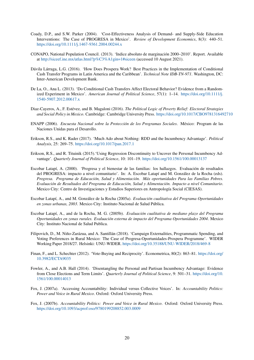- Coady, D.P., and S.W. Parker (2004). 'Cost-Effectiveness Analysis of Demand- and Supply-Side Education Interventions: The Case of PROGRESA in Mexico'. *Review of Development Economics*, 8(3): 440–51. <https://doi.org/10.1111/j.1467-9361.2004.00244.x>
- CONAPO, National Population Council. (2013). 'Indice absoluto de marginación 2000–2010'. Report. Available at <http://siceef.ine.mx/atlas.html?p%C3%A1gin=1#siceen> (accessed 10 August 2021).
- Dávila Lárraga, L.G. (2016). 'How Does Prospera Work? Best Practices in the Implementation of Conditional Cash Transfer Programs in Latin America and the Caribbean'. *Technical Note IDB-TN-971*. Washington, DC: Inter-American Development Bank.
- De La, O., Ana L. (2013). 'Do Conditional Cash Transfers Affect Electoral Behavior? Evidence from a Randomized Experiment in Mexico'. *American Journal of Political Science*, 57(1): 1–14. [https://doi.org/10.1111/j.](https://doi.org/10.1111/j.1540-5907.2012.00617.x) [1540-5907.2012.00617.x](https://doi.org/10.1111/j.1540-5907.2012.00617.x)
- Diaz-Cayeros, A., F. Estévez, and B. Magaloni (2016). *The Political Logic of Poverty Relief: Electoral Strategies and Social Policy in Mexico*. Cambridge: Cambridge University Press. <https://doi.org/10.1017/CBO9781316492710>
- ENAPP (2006). *Encuesta Nacional sobre la Protección de los Programas Sociales*. México: Program de las Naciones Unidas para el Desarollo.
- Erikson, R.S., and K. Rader (2017). 'Much Ado about Nothing: RDD and the Incumbency Advantage'. *Political Analysis*, 25: 269–75. <https://doi.org/10.1017/pan.2017.1>
- Erikson, R.S., and R. Tituinik (2015).'Using Regression Discontinuity to Uncover the Personal Incumbency Advantage'. *Quarterly Journal of Political Science*, 10: 101–19. <https://doi.org/10.1561/100.00013137>
- Escobar Latapí, A. (2000). 'Progresa y el bienestar de las familias: los hallazgos. Evaluación de resultados del PROGRESA: impacto a nivel comunitario'. In: A. Escobar Latapí and M. González de la Rocha (eds). *Progresa. Programa de Educación, Salud y Alimentación. Más oportunidades Para las Familias Pobres. Evaluación de Resultados del Programa de Educación, Salud y Alimentación. Impacto a nivel Comunitario*. Mexico City: Centro de Investigaciones y Estudios Superiores en Antropología Social (CIESAS).
- Escobar Latapí, A., and M. González de la Rocha (2005a). *Evaluación cualitativa del Programa Oportunidades en zonas urbanas, 2003*. Mexico City: Instituto Nacional de Salud Pública.
- Escobar Latapí, A., and de la Rocha, M. G. (2005b). *Evaluación cualitativa de mediano plazo del Programa Oportunidades en zonas rurales. Evaluación externa de impacto del Programa Oportunidades 2004*. Mexico City: Instituto Nacional de Salud Publica.
- Filipovich, D., M. Niño-Zarázua, and A. Santillán (2018). 'Campaign Externalities, Programmatic Spending, and Voting Preferences in Rural Mexico: The Case of Progresa-Oportunidades-Prospera Programme'. WIDER Working Paper 2018/27. Helsinki: UNU-WIDER. <https://doi.org/10.35188/UNU-WIDER/2018/469-8>
- Finan, F., and L. Schechter (2012). 'Vote-Buying and Reciprocity'. Econometrica, 80(2): 863–81. [https://doi.org/](https://doi.org/10.3982/ECTA9035) [10.3982/ECTA9035](https://doi.org/10.3982/ECTA9035)
- Fowler, A., and A.B. Hall (2014). 'Disentangling the Personal and Partisan Incumbency Advantage: Evidence from Close Elections and Term Limits'. *Quarterly Journal of Political Science*, 9: 501–31. [https://doi.org/10.](https://doi.org/10.1561/100.00014013) [1561/100.00014013](https://doi.org/10.1561/100.00014013)
- Fox, J. (2007a). 'Accessing Accountability: Individual versus Collective Voices'. In: *Accountability Politics: Power and Voice in Rural Mexico*. Oxford: Oxford University Press.
- Fox, J. (2007b). *Accountability Politics: Power and Voice in Rural Mexico*. Oxford: Oxford University Press. <https://doi.org/10.1093/acprof:oso/9780199208852.003.0009>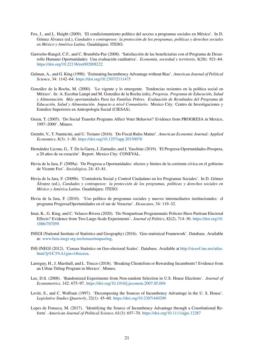- Fox, J., and L. Haight (2009). 'El condicionamiento político del acceso a programas sociales en México'. In D. Gómez Álvarez (ed.), *Candados y contrapesos: la protección de los programas, políticas y derechos sociales en México y América Latina*. Guadalajara: ITESO.
- Garrocho-Rangel, C.F., and C. Brambila-Paz (2008). 'Satisfacción de las beneficiarias con el Programa de Desarrollo Humano Oportunidades: Una evaluación cualitativa'. *Economía, sociedad y territorio*, 8(28): 921–64. <https://doi.org/10.22136/est002008222>
- Gelman, A., and G. King (1990). 'Estimating Incumbency Advantage without Bias'. *American Journal of Political Science*, 34: 1142–64. <https://doi.org/10.2307/2111475>
- González de la Rocha, M. (2000). 'Lo vigente y lo emergente. Tendencias recientes en la política social en México'. In: A. Escobar Latapí and M. González de la Rocha (eds), *Progresa. Programa de Educación, Salud y Alimentación. Más oportunidades Para las Familias Pobres. Evaluación de Resultados del Programa de Educación, Salud y Alimentación. Impacto a nivel Comunitario*. Mexico City: Centro de Investigaciones y Estudios Superiores en Antropología Social (CIESAS).
- Green, T. (2005). 'Do Social Transfer Programs Affect Voter Behavior? Evidence from PROGRESA in Mexico, 1997–2000'. Mimeo.
- Grembi, V., T. Nannicini, and U. Troiano (2016). 'Do Fiscal Rules Matter'. *American Economic Journal: Applied Economics*, 8(3): 1–30. <https://doi.org/10.1257/app.20150076>
- Hernández Licona, G., T. De la Garza, J. Zamudio, and I. Yaschine (2019). 'El Progresa-Oportunidades-Prospera, a 20 años de su creación'. Report. Mexico City: CONEVAL.
- Hevia de la Jara, F. (2009a). 'De Progresa a Oportunidades: efectos y límites de la corriente cívica en el gobierno de Vicente Fox'. *Sociológica*, 24: 43–81.
- Hevia de la Jara, F. (2009b). 'Contraloría Social y Control Ciudadano en los Programas Sociales'. In D. Gómez Álvarez (ed.), *Candados y contrapesos: la protección de los programas, políticas y derechos sociales en México y América Latina*. Guadalajara: ITESO.
- Hevia de la Jara, F. (2010). 'Uso político de programas sociales y nuevos intermediarios institucionales: el programa Progresa/Oportunidades en el sur de Veracruz'. *Desacatos*, 34: 119–32.
- Imai, K., G. King, and C. Velasco-Rivera (2020). 'Do Nonpartisan Programmatic Policies Have Partisan Electoral Effects? Evidence from Two Large-Scale Experiments'. *Journal of Politics*, 82(2), 714–30. [https://doi.org/10.](https://doi.org/10.1086/707059) [1086/707059](https://doi.org/10.1086/707059)
- INEGI (National Institute of Statistics and Geography) (2016). 'Geo-statistical Framework'. Database. Available at: [www.beta.inegi.org.mx/temas/mapas/mg.](www.beta.inegi.org.mx/temas/mapas/mg)
- INE-INEGI (2012). 'Census Statistics on Geo-electoral Scales'. Database. Available at [http://siceef.ine.mx/atlas.](http://siceef.ine.mx/atlas.html?p%C3%A1gin=1#siceen) [html?p%C3%A1gin=1#siceen.](http://siceef.ine.mx/atlas.html?p%C3%A1gin=1#siceen)
- Larreguy, H., J. Marshall, and L. Trucco (2018). 'Breaking Clientelism or Rewarding Incumbents? Evidence from an Urban Titling Program in Mexico'. Mimeo.
- Lee, D.S. (2008). 'Randomized Experiments from Non-random Selection in U.S. House Elections'. *Journal of Econometrics*, 142: 675–97. <https://doi.org/10.1016/j.jeconom.2007.05.004>
- Levitt, S., and C. Wolfram (1997). 'Decomposing the Sources of Incumbency Advantage in the U. S. House'. *Legislative Studies Quarterly*, 22(1): 45–60. [https://doi.org/10.2307/440290](https://doi.org/10.2307/440290 )
- Lopes de Fonseca, M. (2017). 'Identifying the Source of Incumbency Advantage through a Constitutional Reform'. *American Journal of Political Science*, 61(3): 657–70. <https://doi.org/10.1111/ajps.12287>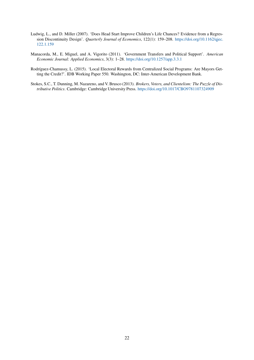- Ludwig, L., and D. Miller (2007). 'Does Head Start Improve Children's Life Chances? Evidence from a Regression Discontinuity Design'. *Quarterly Journal of Economics*, 122(1): 159–208. [https://doi.org/10.1162/qjec.](https://doi.org/10.1162/qjec.122.1.159) [122.1.159](https://doi.org/10.1162/qjec.122.1.159)
- Manacorda, M., E. Miguel, and A. Vigorito (2011). 'Government Transfers and Political Support'. *American Economic Journal: Applied Economics*, 3(3): 1–28. <https://doi.org/10.1257/app.3.3.1>
- Rodríguez-Chamussy, L. (2015). 'Local Electoral Rewards from Centralized Social Programs: Are Mayors Getting the Credit?'. IDB Working Paper 550. Washington, DC: Inter-American Development Bank.
- Stokes, S.C., T. Dunning, M. Nazareno, and V. Brusco (2013). *Brokers, Voters, and Clientelism: The Puzzle of Distributive Politics*. Cambridge: Cambridge University Press. <https://doi.org/10.1017/CBO9781107324909>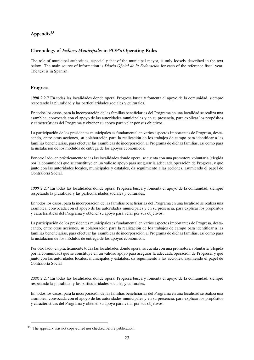# Appendix<sup>[35](#page-2-0)</sup>

# Chronology of Enlaces Municipales in POP's Operating Rules

The role of municipal authorities, especially that of the municipal mayor, is only loosely described in the text below. The main source of information is *Diario Oficial de la Federación* for each of the reference fiscal year. The text is in Spanish.

## Progresa

1998 2.2.7 En todas las localidades donde opera, Progresa busca y fomenta el apoyo de la comunidad, siempre respetando la pluralidad y las particularidades sociales y culturales.

En todos los casos, para la incorporación de las familias beneficiarias del Programa en una localidad se realiza una asamblea, convocada con el apoyo de las autoridades municipales y en su presencia, para explicar los propósitos y características del Programa y obtener su apoyo para velar por sus objetivos.

La participación de los presidentes municipales es fundamental en varios aspectos importantes de Progresa, destacando, entre otras acciones, su colaboración para la realización de los trabajos de campo para identificar a las familias beneficiarias, para efectuar las asambleas de incorporación al Programa de dichas familias, así como para la instalación de los módulos de entrega de los apoyos económicos.

Por otro lado, en prácticamente todas las localidades donde opera, se cuenta con una promotora voluntaria (elegida por la comunidad) que se constituye en un valioso apoyo para asegurar la adecuada operación de Progresa, y que junto con las autoridades locales, municipales y estatales, da seguimiento a las acciones, asumiendo el papel de Contraloría Social.

1999 2.2.7 En todas las localidades donde opera, Progresa busca y fomenta el apoyo de la comunidad, siempre respetando la pluralidad y las particularidades sociales y culturales.

En todos los casos, para la incorporación de las familias beneficiarias del Programa en una localidad se realiza una asamblea, convocada con el apoyo de las autoridades municipales y en su presencia, para explicar los propósitos y características del Programa y obtener su apoyo para velar por sus objetivos.

La participación de los presidentes municipales es fundamental en varios aspectos importantes de Progresa, destacando, entre otras acciones, su colaboración para la realización de los trabajos de campo para identificar a las familias beneficiarias, para efectuar las asambleas de incorporación al Programa de dichas familias, así como para la instalación de los módulos de entrega de los apoyos económicos.

Por otro lado, en prácticamente todas las localidades donde opera, se cuenta con una promotora voluntaria (elegida por la comunidad) que se constituye en un valioso apoyo para asegurar la adecuada operación de Progresa, y que junto con las autoridades locales, municipales y estatales, da seguimiento a las acciones, asumiendo el papel de Contraloría Social

2000 2.2.7 En todas las localidades donde opera, Progresa busca y fomenta el apoyo de la comunidad, siempre respetando la pluralidad y las particularidades sociales y culturales.

En todos los casos, para la incorporación de las familias beneficiarias del Programa en una localidad se realiza una asamblea, convocada con el apoyo de las autoridades municipales y en su presencia, para explicar los propósitos y características del Programa y obtener su apoyo para velar por sus objetivos.

<sup>35</sup> The appendix was not copy-edited nor checked before publication.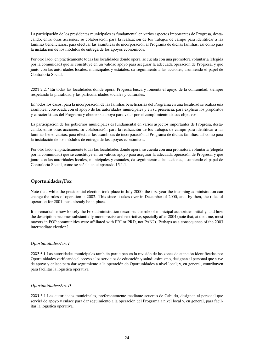La participación de los presidentes municipales es fundamental en varios aspectos importantes de Progresa, destacando, entre otras acciones, su colaboración para la realización de los trabajos de campo para identificar a las familias beneficiarias, para efectuar las asambleas de incorporación al Programa de dichas familias, así como para la instalación de los módulos de entrega de los apoyos económicos.

Por otro lado, en prácticamente todas las localidades donde opera, se cuenta con una promotora voluntaria (elegida por la comunidad) que se constituye en un valioso apoyo para asegurar la adecuada operación de Progresa, y que junto con las autoridades locales, municipales y estatales, da seguimiento a las acciones, asumiendo el papel de Contraloría Social.

2001 2.2.7 En todas las localidades donde opera, Progresa busca y fomenta el apoyo de la comunidad, siempre respetando la pluralidad y las particularidades sociales y culturales.

En todos los casos, para la incorporación de las familias beneficiarias del Programa en una localidad se realiza una asamblea, convocada con el apoyo de las autoridades municipales y en su presencia, para explicar los propósitos y características del Programa y obtener su apoyo para velar por el cumplimiento de sus objetivos.

La participación de los gobiernos municipales es fundamental en varios aspectos importantes de Progresa, destacando, entre otras acciones, su colaboración para la realización de los trabajos de campo para identificar a las familias beneficiarias, para efectuar las asambleas de incorporación al Programa de dichas familias, así como para la instalación de los módulos de entrega de los apoyos económicos.

Por otro lado, en prácticamente todas las localidades donde opera, se cuenta con una promotora voluntaria (elegida por la comunidad) que se constituye en un valioso apoyo para asegurar la adecuada operación de Progresa, y que junto con las autoridades locales, municipales y estatales, da seguimiento a las acciones, asumiendo el papel de Contraloría Social, como se señala en el apartado 15.1.1.

# Oportunidades/Fox

Note that, while the presidential election took place in July 2000, the first year the incoming administration can change the rules of operation is 2002. This since it takes over in December of 2000, and, by then, the rules of operation for 2001 must already be in place.

It is remarkable how loosely the Fox administration describes the role of municipal authorities initially, and how the description becomes substantially more precise and restrictive, specially after 2004 (note that, at the time, most mayors in POP communities were affiliated with PRI or PRD, not PAN?). Perhaps as a consequence of the 2003 intermediate election?

## *Oportunidades/Fox I*

2002 5.1 Las autoridades municipales también participan en la revisión de las zonas de atención identificadas por Oportunidades verificando el acceso a los servicios de educación y salud; asimismo, designan al personal que sirve de apoyo y enlace para dar seguimiento a la operación de Oportunidades a nivel local; y, en general, contribuyen para facilitar la logística operativa.

## *Oportunidades/Fox II*

2003 5.1 Las autoridades municipales, preferentemente mediante acuerdo de Cabildo, designan al personal que servirá de apoyo y enlace para dar seguimiento a la operación del Programa a nivel local y, en general, para facilitar la logística operativa.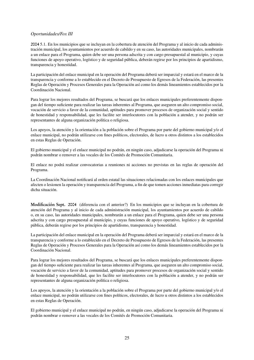## *Oportunidades/Fox III*

2004 5.1. En los municipios que se incluyan en la cobertura de atención del Programa y al inicio de cada administración municipal, los ayuntamientos por acuerdo de cabildo y en su caso, las autoridades municipales, nombrarán a un enlace para el Programa, quien debe ser una persona adscrita y con cargo presupuestal al municipio, y cuyas funciones de apoyo operativo, logístico y de seguridad pública, deberán regirse por los principios de apartidismo, transparencia y honestidad.

La participación del enlace municipal en la operación del Programa deberá ser imparcial y estará en el marco de la transparencia y conforme a lo establecido en el Decreto de Presupuesto de Egresos de la Federación, las presentes Reglas de Operación y Procesos Generales para la Operación así como los demás lineamientos establecidos por la Coordinación Nacional.

Para lograr los mejores resultados del Programa, se buscará que los enlaces municipales preferentemente dispongan del tiempo suficiente para realizar las tareas inherentes al Programa, que aseguren un alto compromiso social, vocación de servicio a favor de la comunidad, aptitudes para promover procesos de organización social y sentido de honestidad y responsabilidad, que les facilite ser interlocutores con la población a atender, y no podrán ser representantes de alguna organización política o religiosa.

Los apoyos, la atención y la orientación a la población sobre el Programa por parte del gobierno municipal y/o el enlace municipal, no podrán utilizarse con fines políticos, electorales, de lucro u otros distintos a los establecidos en estas Reglas de Operación.

El gobierno municipal y el enlace municipal no podrán, en ningún caso, adjudicarse la operación del Programa ni podrán nombrar o remover a las vocales de los Comités de Promoción Comunitaria.

El enlace no podrá realizar convocatorias a reuniones ni acciones no previstas en las reglas de operación del Programa.

La Coordinación Nacional notificará al orden estatal las situaciones relacionadas con los enlaces municipales que afecten o lesionen la operación y transparencia del Programa, a fin de que tomen acciones inmediatas para corregir dicha situación.

Modificación Sept. 2004 (diferencia con el anterior?) En los municipios que se incluyan en la cobertura de atención del Programa y al inicio de cada administración municipal, los ayuntamientos por acuerdo de cabildo o, en su caso, las autoridades municipales, nombrarán a un enlace para el Programa, quien debe ser una persona adscrita y con cargo presupuestal al municipio, y cuyas funciones de apoyo operativo, logístico y de seguridad pública, deberán regirse por los principios de apartidismo, transparencia y honestidad.

La participación del enlace municipal en la operación del Programa deberá ser imparcial y estará en el marco de la transparencia y conforme a lo establecido en el Decreto de Presupuesto de Egresos de la Federación, las presentes Reglas de Operación y Procesos Generales para la Operación así como los demás lineamientos establecidos por la Coordinación Nacional.

Para lograr los mejores resultados del Programa, se buscará que los enlaces municipales preferentemente dispongan del tiempo suficiente para realizar las tareas inherentes al Programa, que aseguren un alto compromiso social, vocación de servicio a favor de la comunidad, aptitudes para promover procesos de organización social y sentido de honestidad y responsabilidad, que les facilite ser interlocutores con la población a atender, y no podrán ser representantes de alguna organización política o religiosa.

Los apoyos, la atención y la orientación a la población sobre el Programa por parte del gobierno municipal y/o el enlace municipal, no podrán utilizarse con fines políticos, electorales, de lucro u otros distintos a los establecidos en estas Reglas de Operación.

El gobierno municipal y el enlace municipal no podrán, en ningún caso, adjudicarse la operación del Programa ni podrán nombrar o remover a las vocales de los Comités de Promoción Comunitaria.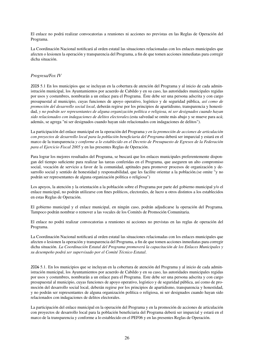El enlace no podrá realizar convocatorias a reuniones ni acciones no previstas en las Reglas de Operación del Programa.

La Coordinación Nacional notificará al orden estatal las situaciones relacionadas con los enlaces municipales que afecten o lesionen la operación y transparencia del Programa, a fin de que tomen acciones inmediatas para corregir dicha situación.

#### *Progresa/Fox IV*

2005 5.1 En los municipios que se incluyan en la cobertura de atención del Programa y al inicio de cada administración municipal, los Ayuntamientos por acuerdo de Cabildo y en su caso, las autoridades municipales regidas por usos y costumbres, nombrarán a un enlace para el Programa. Éste debe ser una persona adscrita y con cargo presupuestal al municipio, cuyas funciones de apoyo operativo, logístico y de seguridad pública, *así como de promoción del desarrollo social local*, deberán regirse por los principios de apartidismo, transparencia y honestidad, *y no podrán ser representantes de alguna organización política o religiosa, ni ser designados cuando hayan sido relacionados con indagaciones de delitos electorales.*(esta salvedad se omite más abajo y se mueve para acá; además, se agrega "ni ser designados cuando hayan sido relacionados con indagaciones de delitos").

La participación del enlace municipal en la operación del Programa *y en la promoción de acciones de articulación con proyectos de desarrollo local para la población beneficiaria del Programa* deberá ser imparcial y estará en el marco de la transparencia *y conforme a lo establecido en el Decreto de Presupuesto de Egresos de la Federación para el Ejercicio Fiscal 2005* y en las presentes Reglas de Operación.

Para lograr los mejores resultados del Programa, se buscará que los enlaces municipales preferentemente dispongan del tiempo suficiente para realizar las tareas conferidas en el Programa, que aseguren un alto compromiso social, vocación de servicio a favor de la comunidad, aptitudes para promover procesos de organización y desarrollo social y sentido de honestidad y responsabilidad, que les facilite orientar a la población.(se omite "y no podrán ser representantes de alguna organización política o religiosa")

Los apoyos, la atención y la orientación a la población sobre el Programa por parte del gobierno municipal y/o el enlace municipal, no podrán utilizarse con fines políticos, electorales, de lucro u otros distintos a los establecidos en estas Reglas de Operación.

El gobierno municipal y el enlace municipal, en ningún caso, podrán adjudicarse la operación del Programa. Tampoco podrán nombrar o remover a las vocales de los Comités de Promoción Comunitaria.

El enlace no podrá realizar convocatorias a reuniones ni acciones no previstas en las reglas de operación del Programa.

La Coordinación Nacional notificará al orden estatal las situaciones relacionadas con los enlaces municipales que afecten o lesionen la operación y transparencia del Programa, a fin de que tomen acciones inmediatas para corregir dicha situación. *La Coordinación Estatal del Programa promoverá la capacitación de los Enlaces Municipales y su desempeño podrá ser supervisado por el Comité Técnico Estatal*.

2006 5.1. En los municipios que se incluyan en la cobertura de atención del Programa y al inicio de cada administración municipal, los Ayuntamientos por acuerdo de Cabildo y en su caso, las autoridades municipales regidas por usos y costumbres, nombrarán a un enlace para el Programa. Este debe ser una persona adscrita y con cargo presupuestal al municipio, cuyas funciones de apoyo operativo, logístico y de seguridad pública, así como de promoción del desarrollo social local, deberán regirse por los principios de apartidismo, transparencia y honestidad, y no podrán ser representantes de alguna organización política o religiosa, ni ser designados cuando hayan sido relacionados con indagaciones de delitos electorales.

La participación del enlace municipal en la operación del Programa y en la promoción de acciones de articulación con proyectos de desarrollo local para la población beneficiaria del Programa deberá ser imparcial y estará en el marco de la transparencia y conforme a lo establecido en el PEF06 y en las presentes Reglas de Operación.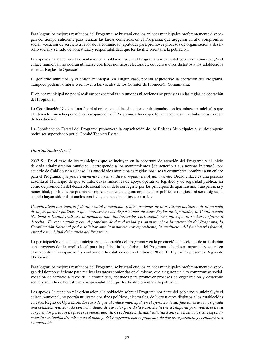Para lograr los mejores resultados del Programa, se buscará que los enlaces municipales preferentemente dispongan del tiempo suficiente para realizar las tareas conferidas en el Programa, que aseguren un alto compromiso social, vocación de servicio a favor de la comunidad, aptitudes para promover procesos de organización y desarrollo social y sentido de honestidad y responsabilidad, que les facilite orientar a la población.

Los apoyos, la atención y la orientación a la población sobre el Programa por parte del gobierno municipal y/o el enlace municipal, no podrán utilizarse con fines políticos, electorales, de lucro u otros distintos a los establecidos en estas Reglas de Operación.

El gobierno municipal y el enlace municipal, en ningún caso, podrán adjudicarse la operación del Programa. Tampoco podrán nombrar o remover a las vocales de los Comités de Promoción Comunitaria.

El enlace municipal no podrá realizar convocatorias a reuniones ni acciones no previstas en las reglas de operación del Programa.

La Coordinación Nacional notificará al orden estatal las situaciones relacionadas con los enlaces municipales que afecten o lesionen la operación y transparencia del Programa, a fin de que tomen acciones inmediatas para corregir dicha situación.

La Coordinación Estatal del Programa promoverá la capacitación de los Enlaces Municipales y su desempeño podrá ser supervisado por el Comité Técnico Estatal.

## *Oportunidades/Fox V*

2007 5.1 En el caso de los municipios que se incluyan en la cobertura de atención del Programa y al inicio de cada administración municipal, corresponde a los ayuntamientos {de acuerdo a sus normas internas}, por acuerdo de Cabildo y en su caso, las autoridades municipales regidas por usos y costumbres, nombrar a un enlace para el Programa, *que preferentemente no sea síndico o regidor del Ayuntamiento.* Dicho enlace es una persona adscrita al Municipio de que se trate, cuyas funciones de apoyo operativo, logístico y de seguridad pública, así como de promoción del desarrollo social local, deberán regirse por los principios de apartidismo, transparencia y honestidad, por lo que no podrán ser representantes de alguna organización política o religiosa, ni ser designados cuando hayan sido relacionados con indagaciones de delitos electorales.

*Cuando algún funcionario federal, estatal o municipal realice acciones de proselitismo político o de promoción de algún partido político, o que contravenga las disposiciones de estas Reglas de Operación, la Coordinación Nacional o Estatal realizará la denuncia ante las instancias correspondientes para que procedan conforme a derecho. En este sentido y con el propósito de dar claridad y transparencia a la operación del Programa, la Coordinación Nacional podrá solicitar ante la instancia correspondiente, la sustitución del funcionario federal, estatal o municipal del manejo del Programa.*

La participación del enlace municipal en la operación del Programa y en la promoción de acciones de articulación con proyectos de desarrollo local para la población beneficiaria del Programa deberá ser imparcial y estará en el marco de la transparencia y conforme a lo establecido en el artículo 28 del PEF y en las presentes Reglas de Operación.

Para lograr los mejores resultados del Programa, se buscará que los enlaces municipales preferentemente dispongan del tiempo suficiente para realizar las tareas conferidas en el mismo, que aseguren un alto compromiso social, vocación de servicio a favor de la comunidad, aptitudes para promover procesos de organización y desarrollo social y sentido de honestidad y responsabilidad, que les facilite orientar a la población.

Los apoyos, la atención y la orientación a la población sobre el Programa por parte del gobierno municipal y/o el enlace municipal, no podrán utilizarse con fines políticos, electorales, de lucro u otros distintos a los establecidos en estas Reglas de Operación. *En caso de que al enlace municipal, en el ejercicio de sus funciones le sea asignada una comisión relacionada con actividades de carácter partidista o solicite licencia temporal para retirarse de su cargo en los periodos de procesos electorales, la Coordinación Estatal solicitará ante las instancias correspondientes la sustitución del mismo en el manejo del Programa, con el propósito de dar transparencia y certidumbre a su operación.*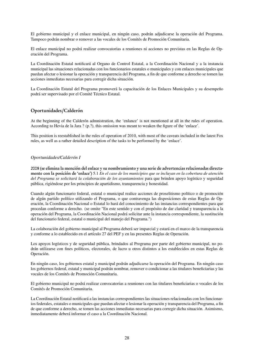El gobierno municipal y el enlace municipal, en ningún caso, podrán adjudicarse la operación del Programa. Tampoco podrán nombrar o remover a las vocales de los Comités de Promoción Comunitaria.

El enlace municipal no podrá realizar convocatorias a reuniones ni acciones no previstas en las Reglas de Operación del Programa.

La Coordinación Estatal notificará al Organo de Control Estatal, a la Coordinación Nacional y a la instancia municipal las situaciones relacionadas con los funcionarios estatales o municipales y con enlaces municipales que puedan afectar o lesionar la operación y transparencia del Programa, a fin de que conforme a derecho se tomen las acciones inmediatas necesarias para corregir dicha situación.

La Coordinación Estatal del Programa promoverá la capacitación de los Enlaces Municipales y su desempeño podrá ser supervisado por el Comité Técnico Estatal.

#### Oportunidades/Calderón

At the beginning of the Calderón admnistration, the 'enlance' is not mentioned at all in the rules of operation. According to Hevia de la Jara ? (p.?), this omission was meant to weaken the figure of the 'enlace'.

This position is reestablished in the rules of operation of 2010, with most of the caveats included in the latest Fox rules, as well as a rather detailed description of the tasks to be performed by the 'enlace'.

#### *Oportunidades/Calderón I*

2008 (se elimina la mención del enlace y su nombramiento y una serie de advertencias relacionadas directamente con la posición de 'enlace') 5.1 *En el caso de los municipios que se incluyan en la cobertura de atención del Programa se solicitará la colaboración de los ayuntamientos* para que brinden apoyo logístico y seguridad pública, rigiéndose por los principios de apartidismo, transparencia y honestidad.

Cuando algún funcionario federal, estatal o municipal realice acciones de proselitismo político o de promoción de algún partido político utilizando el Programa, o que contravenga las disposiciones de estas Reglas de Operación, la Coordinación Nacional o Estatal lo hará del conocimiento de las instancias correspondientes para que procedan conforme a derecho. (se omite "En este sentido y con el propósito de dar claridad y transparencia a la operación del Programa, la Coordinación Nacional podrá solicitar ante la instancia correspondiente, la sustitución del funcionario federal, estatal o municipal del manejo del Programa.")

La colaboración del gobierno municipal al Programa deberá ser imparcial y estará en el marco de la transparencia y conforme a lo establecido en el artículo 27 del PEF y en las presentes Reglas de Operación.

Los apoyos logísticos y de seguridad pública, brindados al Programa por parte del gobierno municipal, no podrán utilizarse con fines políticos, electorales, de lucro u otros distintos a los establecidos en estas Reglas de Operación.

En ningún caso, los gobiernos estatal y municipal podrán adjudicarse la operación del Programa. En ningún caso los gobiernos federal, estatal y municipal podrán nombrar, remover o condicionar a las titulares beneficiarias y las vocales de los Comités de Promoción Comunitaria.

El gobierno municipal no podrá realizar convocatorias a reuniones con las titulares beneficiarias o vocales de los Comités de Promoción Comunitaria.

La Coordinación Estatal notificará a las instancias correspondientes las situaciones relacionadas con los funcionarios federales, estatales o municipales que puedan afectar o lesionar la operación y transparencia del Programa, a fin de que conforme a derecho, se tomen las acciones inmediatas necesarias para corregir dicha situación. Asimismo, inmediatamente deberá informar el caso a la Coordinación Nacional.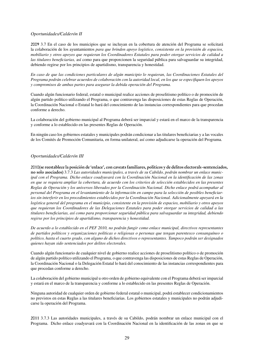#### *Oportunidades/Calderón II*

2009 3.7 En el caso de los municipios que se incluyan en la cobertura de atención del Programa se solicitará la colaboración de los ayuntamientos *para que brinden apoyo logístico, consistente en la provisión de espacios, mobiliario y otros apoyos que requieran los Coordinadores Estatales para poder otorgar servicios de calidad a las titulares beneficiarias,* así como para que proporcionen la seguridad pública para salvaguardar su integridad, debiendo regirse por los principios de apartidismo, transparencia y honestidad.

*En caso de que las condiciones particulares de algún municipio lo requieran, las Coordinaciones Estatales del Programa podrán celebrar acuerdos de colaboración con la autoridad local, en los que se especifiquen los apoyos y compromisos de ambas partes para asegurar la debida operación del Programa.*

Cuando algún funcionario federal, estatal o municipal realice acciones de proselitismo político o de promoción de algún partido político utilizando el Programa, o que contravenga las disposiciones de estas Reglas de Operación, la Coordinación Nacional o Estatal lo hará del conocimiento de las instancias correspondientes para que procedan conforme a derecho.

La colaboración del gobierno municipal al Programa deberá ser imparcial y estará en el marco de la transparencia y conforme a lo establecido en las presentes Reglas de Operación.

En ningún caso los gobiernos estatales y municipales podrán condicionar a las titulares beneficiarias y a las vocales de los Comités de Promoción Comunitaria, en forma unilateral, así como adjudicarse la operación del Programa.

#### *Oportunidades/Calderón III*

2010(se reestablece la posición de 'enlace', con caveats familiares, políticos y de delitos electorals -sentenciados, no solo asociados) 3.7.3 *Las autoridades municipales, a través de su Cabildo, podrán nombrar un enlace municipal con el Programa. Dicho enlace coadyuvará con la Coordinación Nacional en la identificación de las zonas en que se requiera ampliar la cobertura, de acuerdo con los criterios de selección establecidos en las presentes Reglas de Operación y los universos liberados por la Coordinación Nacional. Dicho enlace podrá acompañar al personal del Programa en el levantamiento de la información en campo para la selección de posibles beneficiarios sin interferir en los procedimientos establecidos por la Coordinación Nacional. Adicionalmente apoyará en la logística general del programa en el municipio, consistente en la provisión de espacios, mobiliario y otros apoyos que requieran los Coordinadores de las Delegaciones Estatales para poder otorgar servicios de calidad a las titulares beneficiarias, así como para proporcionar seguridad pública para salvaguardar su integridad, debiendo regirse por los principios de apartidismo, transparencia y honestidad.*

*De acuerdo a lo establecido en el PEF 2010, no podrán fungir como enlace municipal, directivos representantes de partidos políticos y organizaciones políticas o religiosas o personas que tengan parentesco consanguíneo o político, hasta el cuarto grado, con alguno de dichos directivos o representantes. Tampoco podrán ser designados quienes hayan sido sentenciados por delitos electorales.*

Cuando algún funcionario de cualquier nivel de gobierno realice acciones de proselitismo político o de promoción de algún partido político utilizando el Programa, o que contravenga las disposiciones de estas Reglas de Operación, la Coordinación Nacional o la Delegación Estatal lo hará del conocimiento de las instancias correspondientes para que procedan conforme a derecho.

La colaboración del gobierno municipal u otro orden de gobierno equivalente con el Programa deberá ser imparcial y estará en el marco de la transparencia y conforme a lo establecido en las presentes Reglas de Operación.

Ninguna autoridad de cualquier orden de gobierno federal estatal o municipal, podrá establecer condicionamientos no previstos en estas Reglas a las titulares beneficiarias. Los gobiernos estatales y municipales no podrán adjudicarse la operación del Programa.

2011 3.7.3 Las autoridades municipales, a través de su Cabildo, podrán nombrar un enlace municipal con el Programa. Dicho enlace coadyuvará con la Coordinación Nacional en la identificación de las zonas en que se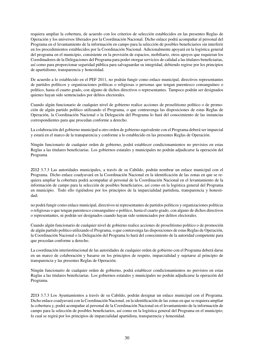requiera ampliar la cobertura, de acuerdo con los criterios de selección establecidos en las presentes Reglas de Operación y los universos liberados por la Coordinación Nacional. Dicho enlace podrá acompañar al personal del Programa en el levantamiento de la información en campo para la selección de posibles beneficiarios sin interferir en los procedimientos establecidos por la Coordinación Nacional. Adicionalmente apoyará en la logística general del programa en el municipio, consistente en la provisión de espacios, mobiliario, otros apoyos que requieran los Coordinadores de la Delegaciones del Programa para poder otorgar servicios de calidad a las titulares beneficiarias, así como para proporcionar seguridad pública para salvaguardar su integridad, debiendo regirse por los principios de apartidismo, transparencia y honestidad.

De acuerdo a lo establecido en el PEF 2011, no podrán fungir como enlace municipal, directivos representantes de partidos políticos y organizaciones políticas o religiosas o personas que tengan parentesco consanguíneo o político, hasta el cuarto grado, con alguno de dichos directivos o representantes. Tampoco podrán ser designados quienes hayan sido sentenciados por delitos electorales.

Cuando algún funcionario de cualquier nivel de gobierno realice acciones de proselitismo político o de promoción de algún partido político utilizando el Programa, o que contravenga las disposiciones de estas Reglas de Operación, la Coordinación Nacional o la Delegación del Programa lo hará del conocimiento de las instancias correspondientes para que procedan conforme a derecho.

La colaboración del gobierno municipal u otro orden de gobierno equivalente con el Programa deberá ser imparcial y estará en el marco de la transparencia y conforme a lo establecido en las presentes Reglas de Operación.

Ningún funcionario de cualquier orden de gobierno, podrá establecer condicionamientos no previstos en estas Reglas a las titulares beneficiarias. Los gobiernos estatales y municipales no podrán adjudicarse la operación del Programa

2012 3.7.3 Las autoridades municipales, a través de su Cabildo, podrán nombrar un enlace municipal con el Programa. Dicho enlace coadyuvará en la Coordinación Nacional en la identificación de las zonas en que se requiera ampliar la cobertura podrá acompañar al personal de la Coordinación Nacional en el levantamiento de la información de campo para la selección de posibles beneficiarios, así como en la logística general del Programa en municipio. Todo ello rigiéndose por los principios de la imparcialidad partidista, transparencia y honestidad;

no podrá fungir como enlace municipal, directivos ni representantes de partidos políticos y organizaciones políticas o religiosas o que tengan parentesco consanguíneo o político, hasta el cuarto grado, con alguno de dichos directivos o representantes, ni podrán ser designados cuando hayan sido sentenciados por delitos electorales.

Cuando algún funcionario de cualquier nivel de gobierno realice acciones de proselitismo político o de promoción de algún partido político utilizando el Programa, o que contravenga las disposiciones de estas Reglas de Operación, la Coordinación Nacional o la Delegación del Programa lo hará del conocimiento de la autoridad competente para que procedan conforme a derecho.

La coordinación interinstitucional de las autoridades de cualquier orden de gobierno con el Programa deberá darse en un marco de colaboración y basarse en los principios de respeto, imparcialidad y sujetarse al principio de transparencia y las presentes Reglas de Operación.

Ningún funcionario de cualquier orden de gobierno, podrá establecer condicionamientos no previstos en estas Reglas a las titulares beneficiarias. Los gobiernos estatales y municipales no podrán adjudicarse la operación del Programa.

2013 3.7.3 Los Ayuntamientos a través de su Cabildo, podrán designar un enlace municipal con el Programa. Dicho enlace coadyuvará con la Coordinación Nacional, en la identificación de las zonas en que se requiera ampliar la cobertura y, podrá acompañar al personal de la Coordinación Nacional en el levantamiento de la información de campo para la selección de posibles beneficiarios, así como en la logística general del Programa en el municipio; lo cual se regirá por los principios de imparcialidad apartidista, transparencia y honestidad.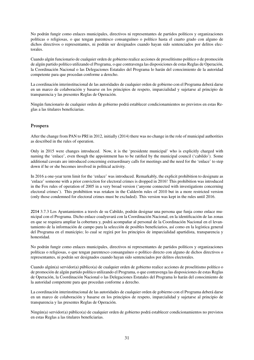No podrán fungir como enlaces municipales, directivos ni representantes de partidos políticos y organizaciones políticas o religiosas, o que tengan parentesco consanguíneo o político hasta el cuarto grado con alguno de dichos directivos o representantes, ni podrán ser designados cuando hayan sido sentenciados por delitos electorales.

Cuando algún funcionario de cualquier orden de gobierno realice acciones de proselitismo político o de promoción de algún partido político utilizando el Programa, o que contravenga las disposiciones de estas Reglas de Operación, la Coordinación Nacional o las Delegaciones Estatales del Programa lo harán del conocimiento de la autoridad competente para que procedan conforme a derecho.

La coordinación interinstitucional de las autoridades de cualquier orden de gobierno con el Programa deberá darse en un marco de colaboración y basarse en los principios de respeto, imparcialidad y sujetarse al principio de transparencia y las presentes Reglas de Operación.

Ningún funcionario de cualquier orden de gobierno podrá establecer condicionamientos no previstos en estas Reglas a las titulares beneficiarias.

## Prospera

After the change from PAN to PRI in 2012, initially (2014) there was no change in the role of municipal authorities as described in the rules of operation.

Only in 2015 were changes introduced. Now, it is the 'presidente municipal' who is explicitly charged with naming the 'enlace', even though the appointment has to be ratified by the municipal council ('cabildo'). Some additional caveats are introduced concerning extraordinary calls for meetings and the need for the 'enlace' to step down if he or she becomes involved in political activity.

In 2016 a one-year term limit for the 'enlace' was introduced. Remarkably, the explicit prohibition to designate as 'enlace' someone with a prior conviction for electoral crimes is dropped in 2016! This prohibition was introduced in the Fox rules of operation of 2005 in a very broad version ('anyone connected with investigations concerning electoral crimes'). This prohibition was retaken in the Calderón rules of 2010 but in a more restricted version (only those condemned for electoral crimes must be excluded). This version was kept in the rules until 2016.

2014 3.7.3 Los Ayuntamientos a través de su Cabildo, podrán designar una persona que funja como enlace municipal con el Programa. Dicho enlace coadyuvará con la Coordinación Nacional, en la identificación de las zonas en que se requiera ampliar la cobertura y, podrá acompañar al personal de la Coordinación Nacional en el levantamiento de la información de campo para la selección de posibles beneficiarios, así como en la logística general del Programa en el municipio; lo cual se regirá por los principios de imparcialidad apartidista, transparencia y honestidad.

No podrán fungir como enlaces municipales, directivos ni representantes de partidos políticos y organizaciones políticas o religiosas, o que tengan parentesco consanguíneo o político directo con alguno de dichos directivos o representantes, ni podrán ser designados cuando hayan sido sentenciados por delitos electorales.

Cuando algún(a) servidor(a) público(a) de cualquier orden de gobierno realice acciones de proselitismo político o de promoción de algún partido político utilizando el Programa, o que contravenga las disposiciones de estas Reglas de Operación, la Coordinación Nacional o las Delegaciones Estatales del Programa lo harán del conocimiento de la autoridad competente para que procedan conforme a derecho.

La coordinación interinstitucional de las autoridades de cualquier orden de gobierno con el Programa deberá darse en un marco de colaboración y basarse en los principios de respeto, imparcialidad y sujetarse al principio de transparencia y las presentes Reglas de Operación.

Ningún(a) servidor(a) público(a) de cualquier orden de gobierno podrá establecer condicionamientos no previstos en estas Reglas a las titulares beneficiarias.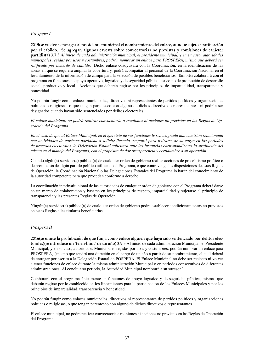## *Prospera I*

2015(se vuelve a encargar al presidente municipal el nombramiento del enlace, aunque sujeto a ratificación por el cabildo. Se agregan algunos caveats sobre convocatorias no previstas y comisiones de carácter partidista) 3.7.3 *Al inicio de cada administración municipal, el presidente municipal, y en su caso, autoridades municipales regidas por usos y costumbres, podrán nombrar un enlace para PROSPERA, mismo que deberá ser ratificado por acuerdo de cabildo.* Dicho enlace coadyuvará con la Coordinación, en la identificación de las zonas en que se requiera ampliar la cobertura y, podrá acompañar al personal de la Coordinación Nacional en el levantamiento de la información de campo para la selección de posibles beneficiarios. También colaborará con el programa en funciones de apoyo operativo, logístico y de seguridad pública, así como de promoción de desarrollo social, productivo y local. Acciones que deberán regirse por los principios de imparcialidad, transparencia y honestidad.

No podrán fungir como enlaces municipales, directivos ni representantes de partidos políticos y organizaciones políticas o religiosas, o que tengan parentesco con alguno de dichos directivos o representantes, ni podrán ser designados cuando hayan sido sentenciados por delitos electorales.

*El enlace municipal, no podrá realizar convocatoria a reuniones ni acciones no previstas en las Reglas de Operación del Programa.*

*En el caso de que al Enlace Municipal, en el ejercicio de sus funciones le sea asignada una comisión relacionada con actividades de carácter partidista o solicite licencia temporal para retirarse de su cargo en los periodos de procesos electorales, la Delegación Estatal solicitará ante las instancias correspondientes la sustitución del mismo en el manejo del Programa, con el propósito de dar transparencia y certidumbre a su operación.*

Cuando algún(a) servidor(a) público(a) de cualquier orden de gobierno realice acciones de proselitismo político o de promoción de algún partido político utilizando el Programa, o que contravenga las disposiciones de estas Reglas de Operación, la Coordinación Nacional o las Delegaciones Estatales del Programa lo harán del conocimiento de la autoridad competente para que procedan conforme a derecho.

La coordinación interinstitucional de las autoridades de cualquier orden de gobierno con el Programa deberá darse en un marco de colaboración y basarse en los principios de respeto, imparcialidad y sujetarse al principio de transparencia y las presentes Reglas de Operación.

Ningún(a) servidor(a) público(a) de cualquier orden de gobierno podrá establecer condicionamientos no previstos en estas Reglas a las titulares beneficiarias.

## *Prospera II*

2016(se omite la prohibición de que funja como enlace alguien que haya sido sentenciado por delitos electorales)(se introduce un 'term-limit' de un año) 3.9.3 Al inicio de cada administración Municipal, el Presidente Municipal, y en su caso, autoridades Municipales regidas por usos y costumbres, podrán nombrar un enlace para PROSPERA, {mismo que tendrá una duración en el cargo de un año a partir de su nombramiento, el cual deberá de entregar por escrito a la Delegación Estatal de POSPERA. El Enlace Municipal no debe ser reelecto ni volver a tener funciones de enlace durante la misma administración Municipal o en periodos consecutivos de diferentes administraciones. Al concluir su periodo, la Autoridad Municipal nombrará a su sucesor.}

Colaborará con el programa únicamente en funciones de apoyo logístico y de seguridad pública, mismas que deberán regirse por lo establecido en los lineamientos para la participación de los Enlaces Municipales y por los principios de imparcialidad, transparencia y honestidad.

No podrán fungir como enlaces municipales, directivos ni representantes de partidos políticos y organizaciones políticas o religiosas, o que tengan parentesco con alguno de dichos directivos o representantes.

El enlace municipal, no podrá realizar convocatoria a reuniones ni acciones no previstas en las Reglas de Operación del Programa.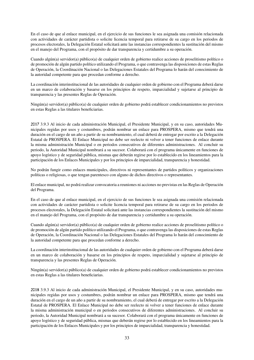En el caso de que al enlace municipal, en el ejercicio de sus funciones le sea asignada una comisión relacionada con actividades de carácter partidista o solicite licencia temporal para retirarse de su cargo en los periodos de procesos electorales, la Delegación Estatal solicitará ante las instancias correspondientes la sustitución del mismo en el manejo del Programa, con el propósito de dar transparencia y certidumbre a su operación.

Cuando algún(a) servidor(a) público(a) de cualquier orden de gobierno realice acciones de proselitismo político o de promoción de algún partido político utilizando el Programa, o que contravenga las disposiciones de estas Reglas de Operación, la Coordinación Nacional o las Delegaciones Estatales del Programa lo harán del conocimiento de la autoridad competente para que procedan conforme a derecho.

La coordinación interinstitucional de las autoridades de cualquier orden de gobierno con el Programa deberá darse en un marco de colaboración y basarse en los principios de respeto, imparcialidad y sujetarse al principio de transparencia y las presentes Reglas de Operación.

Ningún(a) servidor(a) público(a) de cualquier orden de gobierno podrá establecer condicionamientos no previstos en estas Reglas a las titulares beneficiarias.

2017 3.9.3 Al inicio de cada administración Municipal, el Presidente Municipal, y en su caso, autoridades Municipales regidas por usos y costumbres, podrán nombrar un enlace para PROSPERA, mismo que tendrá una duración en el cargo de un año a partir de su nombramiento, el cual deberá de entregar por escrito a la Delegación Estatal de PROSPERA. El Enlace Municipal no debe ser reelecto ni volver a tener funciones de enlace durante la misma administración Municipal o en periodos consecutivos de diferentes administraciones. Al concluir su periodo, la Autoridad Municipal nombrará a su sucesor. Colaborará con el programa únicamente en funciones de apoyo logístico y de seguridad pública, mismas que deberán regirse por lo establecido en los lineamientos para la participación de los Enlaces Municipales y por los principios de imparcialidad, transparencia y honestidad.

No podrán fungir como enlaces municipales, directivos ni representantes de partidos políticos y organizaciones políticas o religiosas, o que tengan parentesco con alguno de dichos directivos o representantes.

El enlace municipal, no podrá realizar convocatoria a reuniones ni acciones no previstas en las Reglas de Operación del Programa.

En el caso de que al enlace municipal, en el ejercicio de sus funciones le sea asignada una comisión relacionada con actividades de carácter partidista o solicite licencia temporal para retirarse de su cargo en los periodos de procesos electorales, la Delegación Estatal solicitará ante las instancias correspondientes la sustitución del mismo en el manejo del Programa, con el propósito de dar transparencia y certidumbre a su operación.

Cuando algún(a) servidor(a) público(a) de cualquier orden de gobierno realice acciones de proselitismo político o de promoción de algún partido político utilizando el Programa, o que contravenga las disposiciones de estas Reglas de Operación, la Coordinación Nacional o las Delegaciones Estatales del Programa lo harán del conocimiento de la autoridad competente para que procedan conforme a derecho.

La coordinación interinstitucional de las autoridades de cualquier orden de gobierno con el Programa deberá darse en un marco de colaboración y basarse en los principios de respeto, imparcialidad y sujetarse al principio de transparencia y las presentes Reglas de Operación.

Ningún(a) servidor(a) público(a) de cualquier orden de gobierno podrá establecer condicionamientos no previstos en estas Reglas a las titulares beneficiarias.

2018 3.9.3 Al inicio de cada administración Municipal, el Presidente Municipal, y en su caso, autoridades municipales regidas por usos y costumbres, podrán nombrar un enlace para PROSPERA, mismo que tendrá una duración en el cargo de un año a partir de su nombramiento, el cual deberá de entregar por escrito a la Delegación Estatal de PROSPERA. El Enlace Municipal no debe ser reelecto ni volver a tener funciones de enlace durante la misma administración municipal o en periodos consecutivos de diferentes administraciones. Al concluir su periodo, la Autoridad Municipal nombrará a su sucesor. Colaborará con el programa únicamente en funciones de apoyo logístico y de seguridad pública, mismas que deberán regirse por lo establecido en los lineamientos para la participación de los Enlaces Municipales y por los principios de imparcialidad, transparencia y honestidad.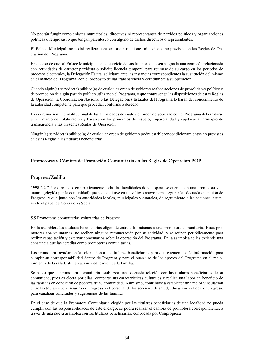No podrán fungir como enlaces municipales, directivos ni representantes de partidos políticos y organizaciones políticas o religiosas, o que tengan parentesco con alguno de dichos directivos o representantes.

El Enlace Municipal, no podrá realizar convocatoria a reuniones ni acciones no previstas en las Reglas de Operación del Programa.

En el caso de que, al Enlace Municipal, en el ejercicio de sus funciones, le sea asignada una comisión relacionada con actividades de carácter partidista o solicite licencia temporal para retirarse de su cargo en los periodos de procesos electorales, la Delegación Estatal solicitará ante las instancias correspondientes la sustitución del mismo en el manejo del Programa, con el propósito de dar transparencia y certidumbre a su operación.

Cuando algún(a) servidor(a) público(a) de cualquier orden de gobierno realice acciones de proselitismo político o de promoción de algún partido político utilizando el Programa, o que contravenga las disposiciones de estas Reglas de Operación, la Coordinación Nacional o las Delegaciones Estatales del Programa lo harán del conocimiento de la autoridad competente para que procedan conforme a derecho.

La coordinación interinstitucional de las autoridades de cualquier orden de gobierno con el Programa deberá darse en un marco de colaboración y basarse en los principios de respeto, imparcialidad y sujetarse al principio de transparencia y las presentes Reglas de Operación.

Ningún(a) servidor(a) público(a) de cualquier orden de gobierno podrá establecer condicionamientos no previstos en estas Reglas a las titulares beneficiarias.

## Promotoras y Cómites de Promoción Comunitaria en las Reglas de Operación POP

#### Progresa/Zedillo

1998 2.2.7 Por otro lado, en prácticamente todas las localidades donde opera, se cuenta con una promotora voluntaria (elegida por la comunidad) que se constituye en un valioso apoyo para asegurar la adecuada operación de Progresa, y que junto con las autoridades locales, municipales y estatales, da seguimiento a las acciones, asumiendo el papel de Contraloría Social.

#### 5.5 Promotoras comunitarias voluntarias de Progresa

En la asamblea, las titulares beneficiarias eligen de entre ellas mismas a una promotora comunitaria. Estas promotoras son voluntarias, no reciben ninguna remuneración por su actividad, y se reúnen periódicamente para recibir capacitación y externar comentarios sobre la operación del Programa. En la asamblea se les extiende una constancia que las acredita como promotoras comunitarias.

Las promotoras ayudan en la orientación a las titulares beneficiarias para que cuenten con la información para cumplir su corresponsabilidad dentro de Progresa y para el buen uso de los apoyos del Programa en el mejoramiento de la salud, alimentación y educación de la familia.

Se busca que la promotora comunitaria establezca una adecuada relación con las titulares beneficiarias de su comunidad, pues es electa por ellas, comparte sus características culturales y realiza una labor en beneficio de las familias en condición de pobreza de su comunidad. Asimismo, contribuye a establecer una mejor vinculación entre las titulares beneficiarias de Progresa y el personal de los servicios de salud, educación y el de Conprogresa, para canalizar solicitudes y sugerencias de las familias.

En el caso de que la Promotora Comunitaria elegida por las titulares beneficiarias de una localidad no pueda cumplir con las responsabilidades de este encargo, se podrá realizar el cambio de promotora correspondiente, a través de una nueva asamblea con las titulares beneficiarias, convocada por Conprogresa.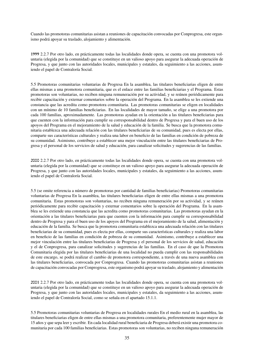Cuando las promotoras comunitarias asistan a reuniones de capacitación convocadas por Conprogresa, este organismo podrá apoyar su traslado, alojamiento y alimentación.

1999 2.2.7 Por otro lado, en prácticamente todas las localidades donde opera, se cuenta con una promotora voluntaria (elegida por la comunidad) que se constituye en un valioso apoyo para asegurar la adecuada operación de Progresa, y que junto con las autoridades locales, municipales y estatales, da seguimiento a las acciones, asumiendo el papel de Contraloría Social.

5.5 Promotoras comunitarias voluntarias de Progresa En la asamblea, las titulares beneficiarias eligen de entre ellas mismas a una promotora comunitaria, que es el enlace entre las familias beneficiarias y el Programa. Estas promotoras son voluntarias, no reciben ninguna remuneración por su actividad, y se reúnen periódicamente para recibir capacitación y externar comentarios sobre la operación del Programa. En la asamblea se les extiende una constancia que las acredita como promotora comunitaria. Las promotoras comunitarias se eligen en localidades con un mínimo de 10 familias beneficiarias. En las localidades de mayor tamaño, se elige a una promotora por cada 100 familias, aproximadamente. Las promotoras ayudan en la orientación a las titulares beneficiarias para que cuenten con la información para cumplir su corresponsabilidad dentro de Progresa y para el buen uso de los apoyos del Programa en el mejoramiento de la salud y educación de la familia. Se busca que la promotora comunitaria establezca una adecuada relación con las titulares beneficiarias de su comunidad, pues es electa por ellas, comparte sus características culturales y realiza una labor en beneficio de las familias en condición de pobreza de su comunidad. Asimismo, contribuye a establecer una mejor vinculación entre las titulares beneficiarias de Progresa y el personal de los servicios de salud y educación, para canalizar solicitudes y sugerencias de las familias.

2000 2.2.7 Por otro lado, en prácticamente todas las localidades donde opera, se cuenta con una promotora voluntaria (elegida por la comunidad) que se constituye en un valioso apoyo para asegurar la adecuada operación de Progresa, y que junto con las autoridades locales, municipales y estatales, da seguimiento a las acciones, asumiendo el papel de Contraloría Social.

5.5 (se omite referencia a número de promotoras por cantidad de familias beneficiarias) Promotoras comunitarias voluntarias de Progresa En la asamblea, las titulares beneficiarias eligen de entre ellas mismas a una promotora comunitaria. Estas promotoras son voluntarias, no reciben ninguna remuneración por su actividad, y se reúnen periódicamente para recibir capacitación y externar comentarios sobre la operación del Programa. En la asamblea se les extiende una constancia que las acredita como promotoras comunitarias. Las promotoras ayudan en la orientación a las titulares beneficiarias para que cuenten con la información para cumplir su corresponsabilidad dentro de Progresa y para el buen uso de los apoyos del Programa en el mejoramiento de la salud, alimentación y educación de la familia. Se busca que la promotora comunitaria establezca una adecuada relación con las titulares beneficiarias de su comunidad, pues es electa por ellas, comparte sus características culturales y realiza una labor en beneficio de las familias en condición de pobreza de su comunidad. Asimismo, contribuye a establecer una mejor vinculación entre las titulares beneficiarias de Progresa y el personal de los servicios de salud, educación y el de Conprogresa, para canalizar solicitudes y sugerencias de las familias. En el caso de que la Promotora Comunitaria elegida por las titulares beneficiarias de una localidad no pueda cumplir con las responsabilidades de este encargo, se podrá realizar el cambio de promotora correspondiente, a través de una nueva asamblea con las titulares beneficiarias, convocada por Conprogresa. Cuando las promotoras comunitarias asistan a reuniones de capacitación convocadas por Conprogresa, este organismo podrá apoyar su traslado, alojamiento y alimentación

2001 2.2.7 Por otro lado, en prácticamente todas las localidades donde opera, se cuenta con una promotora voluntaria (elegida por la comunidad) que se constituye en un valioso apoyo para asegurar la adecuada operación de Progresa, y que junto con las autoridades locales, municipales y estatales, da seguimiento a las acciones, asumiendo el papel de Contraloría Social, como se señala en el apartado 15.1.1.

5.5 Promotoras comunitarias voluntarias de Progresa en localidades rurales En el medio rural en la asamblea, las titulares beneficiarias eligen de entre ellas mismas a una promotora comunitaria, preferentemente mujer mayor de 15 años y que sepa leer y escribir. En cada localidad rural beneficiaria de Progresa deberá existir una promotora comunitaria por cada 100 familias beneficiarias. Estas promotoras son voluntarias, no reciben ninguna remuneración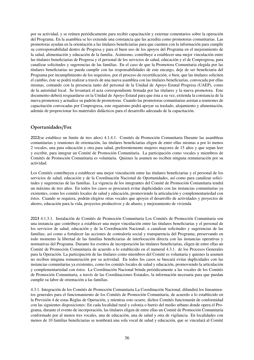por su actividad, y se reúnen periódicamente para recibir capacitación y externar comentarios sobre la operación del Programa. En la asamblea se les extiende una constancia que las acredita como promotoras comunitarias. Las promotoras ayudan en la orientación a las titulares beneficiarias para que cuenten con la información para cumplir su corresponsabilidad dentro de Progresa y para el buen uso de los apoyos del Programa en el mejoramiento de la salud, alimentación y educación de la familia. Asimismo, contribuye a establecer una mejor vinculación entre las titulares beneficiarias de Progresa y el personal de los servicios de salud, educación y el de Conprogresa, para canalizar solicitudes y sugerencias de las familias. En el caso de que la Promotora Comunitaria elegida por las titulares beneficiarias no pueda cumplir con las responsabilidades de este encargo, deje de ser beneficiaria del Programa por incumplimiento de los requisitos, por el proceso de recertificación, o bien, que las titulares soliciten el cambio, éste se podrá realizar a través de una nueva asamblea con las titulares beneficiarias, convocada por ellas mismas, contando con la presencia tanto del personal de la Unidad de Apoyo Estatal Progresa (UAEP), como de la autoridad local. Se levantará el acta correspondiente firmada por las titulares y la nueva promotora. Este documento deberá resguardarse en la Unidad de Apoyo Estatal para que ésta a su vez, extienda la constancia de la nueva promotora y actualice su padrón de promotoras. Cuando las promotoras comunitarias asistan a reuniones de capacitación convocadas por Conprogresa, este organismo podrá apoyar su traslado, alojamiento y alimentación, además de proporcionar los materiales didácticos para el desarrollo adecuado de la capacitación.

# Oportunidades/Fox

2002(se establece un limite de tres años) 4.1.4.1. Comités de Promoción Comunitaria Durante las asambleas comunitarias y reuniones de orientación, las titulares beneficiarias eligen de entre ellas mismas a por lo menos 2 vocales, una para educación y otra para salud, preferentemente mujeres mayores de 15 años y que sepan leer y escribir, para integrar un Comité de Promoción Comunitaria. La participación como vocales y miembros de Comités de Promoción Comunitaria es voluntaria. Quienes la asumen no reciben ninguna remuneración por su actividad.

Los Comités contribuyen a establecer una mejor vinculación entre las titulares beneficiarias y el personal de los servicios de salud, educación y de la Coordinación Nacional de Oportunidades, así como para canalizar solicitudes y sugerencias de las familias. La vigencia de los integrantes del Comité de Promoción Comunitaria tendrá un máximo de tres años. En todos los casos se procurará evitar duplicidades con las instancias comunitarias ya existentes, como los comités locales de salud y educación, promoviendo la articulación y complementariedad con éstos. Cuando se requiera, podrán elegirse otras vocales que apoyen el desarrollo de actividades y proyectos de ahorro, educación para la vida, proyectos productivos y de abasto, y mejoramiento de vivienda

2003 4.1.3.1. Instalación de Comités de Promoción Comunitaria Los Comités de Promoción Comunitaria son una instancia que contribuye a establecer una mejor vinculación entre las titulares beneficiarias y el personal de los servicios de salud, educación y de la Coordinación Nacional; a canalizar solicitudes y sugerencias de las familias; así como a fortalecer las acciones de contraloría social y transparencia del Programa; preservando en todo momento la libertad de las familias beneficiarias de interlocución directa con las instancias operativas y normativas del Programa. Durante los eventos de incorporación las titulares beneficiarias, eligen de entre ellas un Comité de Promoción Comunitaria de acuerdo a lo establecido en el numeral 4.3.1. de los Procesos Generales para la Operación. La participación de las titulares como miembros del Comité es voluntaria y quienes la asumen no reciben ninguna remuneración por su actividad. En todos los casos se buscará evitar duplicidades con las instancias comunitarias ya existentes, como los comités locales de salud y educación, promoviendo la articulación y complementariedad con éstos. La Coordinación Nacional brinda periódicamente a las vocales de los Comités de Promoción Comunitaria, a través de las Coordinaciones Estatales, la información necesaria para que puedan cumplir su labor de orientación a las familias.

4.3.1. Integración de los Comités de Promoción Comunitaria La Coordinación Nacional, difundirá los lineamientos generales para el funcionamiento de los Comités de Promoción Comunitaria, de acuerdo a lo establecido en la Previsión 4 de estas Reglas de Operación, y mientras esto ocurre, dichos Comités funcionarán de conformidad con las siguientes disposiciones: En cada localidad rural y colonia o barrio del medio urbano donde opera el Programa, durante el evento de incorporación, las titulares eligen de entre ellas un Comité de Promoción Comunitaria conformado por al menos tres vocales, una de educación, una de salud y otra de vigilancia. En localidades con menos de 10 familias beneficiarias se nombrará una sola vocal de salud y educación, que se vinculará al Comité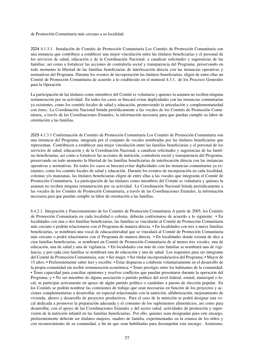de Promoción Comunitaria más cercano a su localidad.

2004 4.1.3.1. Instalación de Comités de Promoción Comunitaria Los Comités de Promoción Comunitaria son una instancia que contribuye a establecer una mejor vinculación entre las titulares beneficiarias y el personal de los servicios de salud, educación y de la Coordinación Nacional; a canalizar solicitudes y sugerencias de las familias; así como a fortalecer las acciones de contraloría social y transparencia del Programa; preservando en todo momento la libertad de las familias beneficiarias de interlocución directa con las instancias operativas y normativas del Programa. Durante los eventos de incorporación las titulares beneficiarias, eligen de entre ellas un Comité de Promoción Comunitaria de acuerdo a lo establecido en el numeral 4.3.1. de los Procesos Generales para la Operación

La participación de las titulares como miembros del Comité es voluntaria y quienes la asumen no reciben ninguna remuneración por su actividad. En todos los casos se buscará evitar duplicidades con las instancias comunitarias ya existentes, como los comités locales de salud y educación, promoviendo la articulación y complementariedad con éstos. La Coordinación Nacional brinda periódicamente a las vocales de los Comités de Promoción Comunitaria, a través de las Coordinaciones Estatales, la información necesaria para que puedan cumplir su labor de orientación a las familias.

2005 4.1.3.1 Conformación de Comités de Promoción Comunitaria Los Comités de Promoción Comunitaria son una instancia del Programa, integrada por el conjunto de vocales nombradas por las titulares beneficiarias que representan. Contribuyen a establecer una mejor vinculación entre las familias beneficiarias y el personal de los servicios de salud, educación y de la Coordinación Nacional, a canalizar solicitudes y sugerencias de las familias beneficiarias, así como a fortalecer las acciones de nutrición, contraloría social y transparencia del Programa, preservando en todo momento la libertad de las familias beneficiarias de interlocución directa con las instancias operativas y normativas. En todos los casos se buscará evitar duplicidades con las instancias comunitarias ya existentes, como los comités locales de salud y educación. Durante los eventos de incorporación en cada localidad, colonias y/o manzanas, las titulares beneficiarias eligen de entre ellas a las vocales que integrarán el Comité de Promoción Comunitaria. La participación de las titulares como miembros del Comité es voluntaria y quienes la asumen no reciben ninguna remuneración por su actividad. La Coordinación Nacional brinda periódicamente a las vocales de los Comités de Promoción Comunitaria, a través de las Coordinaciones Estatales, la información necesaria para que puedan cumplir su labor de orientación a las familias.

6.4.2.1. Integración y Funcionamiento de los Comités de Promoción Comunitaria A partir de 2005, los Comités de Promoción Comunitaria en cada localidad o colonia, deberán conformarse de acuerdo a lo siguiente: • En localidades con una o dos familias beneficiarias, las familias se vincularán al Comité de Promoción Comunitaria más cercano o podrán relacionarse con el Programa de manera directa. • En localidades con tres a nueve familias beneficiarias, se nombrará una vocal de educación/salud que se vinculará al Comité de Promoción Comunitaria más cercano o podrá relacionarse con el Programa de manera directa. • En localidades donde existan de diez a cien familias beneficiarias, se nombrará un Comité de Promoción Comunitaria de al menos tres vocales; una de educación, una de salud y una de vigilancia. • En localidades con más de cien familias se nombrará una de vigilancia, y por cada cien familias se nombrará una de educación y una de salud. Los requisitos para ser integrante del Comité de Promoción Comunitaria, son: • Ser mujer; • Ser titular incorporada/activa del Programa; • Mayor de 15 años; • Preferentemente saber leer y escribir; • Estar dispuesta a colaborar voluntariamente en el desarrollo de la propia comunidad sin recibir remuneración económica; • Tener prestigio entre los habitantes de la comunidad; • Tener capacidad para conciliar opiniones y resolver conflictos que puedan presentarse durante la operación del Programa, y • No ser miembro de alguna asociación o partido político del nivel federal, estatal, municipal o local, ni participar activamente en apoyo de algún partido político o candidato a puesto de elección popular. En los Comités se podrán nombrar las comisiones de trabajo que sean necesarias en función de los proyectos y acciones complementarias a desarrollar, en especial relacionadas con la nutrición, alfabetización, mejoramiento de vivienda, ahorro y desarrollo de proyectos productivos. Para el caso de la nutrición se podrá designar una vocal dedicada a promover la preparación adecuada y el consumo de los suplementos alimenticios, así como para desarrollar, con el apoyo de las Coordinaciones Estatales y del sector salud, actividades de promoción y supervisión de la nutrición infantil en las familias beneficiarias. Por ello, quienes sean designadas para este encargo, preferentemente deberán ser titulares mujeres, madres de familia, experimentadas en la crianza de los niños y con reconocimiento de su comunidad, a fin de que sean habilitadas para desempeñar este encargo. Asimismo,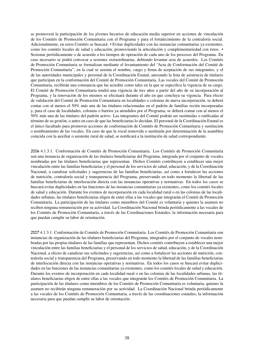se promoverá la participación de los jóvenes becarios de educación media superior en acciones de vinculación de los Comités de Promoción Comunitaria con el Programa y para el fortalecimiento de la contraloría social. Adicionalmente, en estos Comités se buscará: • Evitar duplicidades con las instancias comunitarias ya existentes, como los comités locales de salud y educación, promoviendo la articulación y complementariedad con éstos. • Sesionar periódicamente o de acuerdo a los tiempos de operación de cada uno de los procesos del Programa. En caso necesario se podrá convocar a sesiones extraordinarias, debiendo levantar acta de acuerdos. Los Comités de Promoción Comunitaria se formalizan mediante el levantamiento del "Acta de Conformación del Comité de Promoción Comunitaria", en la cual se asienta el nombre, cargo y firma de aceptación de sus integrantes, y el de las autoridades municipales y personal de la Coordinación Estatal, anexando la lista de asistencia de titulares que participan en la conformación del Comité de Promoción Comunitaria. Las vocales del Comité de Promoción Comunitaria, recibirán una constancia que las acredite como tales en la que se especifica la vigencia de su cargo. El Comité de Promoción Comunitaria tendrá una vigencia de tres años a partir del año de su incorporación al Programa, y la renovación de los mismos se efectuará durante el año en que concluya su vigencia. Para efecto de validación del Comité de Promoción Comunitaria en localidades o colonias de nueva incorporación, se deberá contar con al menos el 50% más una de las titulares relacionadas en el padrón de familias recién incorporadas y, para el caso de localidades, colonias o barrios ya atendidos por el Programa, se deberá contar con al menos el 50% más una de las titulares del padrón activo. Las integrantes del Comité podrán ser sustituidas o ratificadas al término de su gestión, o antes en caso de que las beneficiarias lo decidan. El personal de la Coordinación Estatal es el único facultado para promover acciones de conformación de Comités de Promoción Comunitaria y sustitución o nombramiento de las vocales. En caso de que la vocal removida o sustituida por determinación de la asamblea coincida con la auxiliar o asistente rural de salud, se notificará a la institución de salud correspondiente.

2006 4.1.3.1. Conformación de Comités de Promoción Comunitaria. Los Comités de Promoción Comunitaria son una instancia de organización de las titulares beneficiarias del Programa, integrada por el conjunto de vocales nombradas por las titulares beneficiarias que representan. Dichos Comités contribuyen a establecer una mejor vinculación entre las familias beneficiarias y el personal de los servicios de salud, educación, y de la Coordinación Nacional; a canalizar solicitudes y sugerencias de las familias beneficiarias, así como a fortalecer las acciones de nutrición, contraloría social y transparencia del Programa, preservando en todo momento la libertad de las familias beneficiarias de interlocución directa con las instancias operativas y normativas. En todos los casos se buscará evitar duplicidades en las funciones de las instancias comunitarias ya existentes, como los comités locales de salud y educación. Durante los eventos de incorporación en cada localidad rural o en las colonias de las localidades urbanas, las titulares beneficiarias eligen de entre ellas a las vocales que integrarán el Comité de Promoción Comunitaria. La participación de las titulares como miembros del Comité es voluntaria y quienes la asumen no reciben ninguna remuneración por su actividad. La Coordinación Nacional brinda periódicamente a las vocales de los Comités de Promoción Comunitaria, a través de las Coordinaciones Estatales, la información necesaria para que puedan cumplir su labor de orientación.

2007 4.1.3.1. Conformación de Comités de Promoción Comunitaria. Los Comités de Promoción Comunitaria son instancias de organización de las titulares beneficiarias del Programa, integrados por el conjunto de vocales nombradas por las propias titulares de las familias que representan. Dichos comités contribuyen a establecer una mejor vinculación entre las familias beneficiarias y el personal de los servicios de salud, educación, y de la Coordinación Nacional, a efecto de canalizar sus solicitudes y sugerencias, así como a fortalecer las acciones de nutrición, contraloría social y transparencia del Programa, preservando en todo momento la libertad de las familias beneficiarias de interlocución directa con las instancias operativas y normativas. En todos los casos se buscará evitar duplicidades en las funciones de las instancias comunitarias ya existentes, como los comités locales de salud y educación. Durante los eventos de incorporación en cada localidad rural o en las colonias de las localidades urbanas, las titulares beneficiarias eligen de entre ellas a las vocales que integrarán los Comités de Promoción Comunitaria. La participación de las titulares como miembros de los Comités de Promoción Comunitaria es voluntaria, quienes la asumen no recibirán ninguna remuneración por su actividad. La Coordinación Nacional brinda periódicamente a las vocales de los Comités de Promoción Comunitaria, a través de las coordinaciones estatales, la información necesaria para que puedan cumplir su labor de orientación.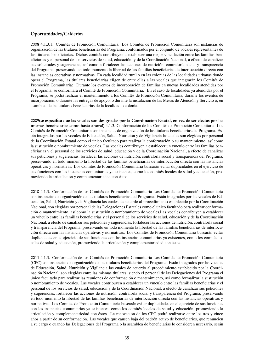## Oportunidades/Calderón

2008 4.1.3.1. Comités de Promoción Comunitaria. Los Comités de Promoción Comunitaria son instancias de organización de las titulares beneficiarias del Programa, conformados por el conjunto de vocales representantes de las titulares beneficiarias. Dichos comités contribuyen a establecer una mejor vinculación entre las familias beneficiarias y el personal de los servicios de salud, educación, y de la Coordinación Nacional, a efecto de canalizar sus solicitudes y sugerencias, así como a fortalecer las acciones de nutrición, contraloría social y transparencia del Programa, preservando en todo momento la libertad de las familias beneficiarias de interlocución directa con las instancias operativas y normativas. En cada localidad rural o en las colonias de las localidades urbanas donde opera el Programa, las titulares beneficiarias eligen de entre ellas a las vocales que integrarán los Comités de Promoción Comunitaria: Durante los eventos de incorporación de familias en nuevas localidades atendidas por el Programa, se conformará el Comité de Promoción Comunitaria. En el caso de localidades ya atendidas por el Programa, se podrá realizar el mantenimiento a los Comités de Promoción Comunitaria, durante los eventos de incorporación, o durante las entregas de apoyo, o durante la instalación de las Mesas de Atención y Servicio o, en asamblea de las titulares beneficiarias de la localidad o colonia.

2009(se especifica que las vocales son designadas por la Coordinacion Estatal, en vez de ser electas por las mismas beneficiarias como hasta ahora!) 4.1.3. Conformación de los Comités de Promoción Comunitaria. Los Comités de Promoción Comunitaria son instancias de organización de las titulares beneficiarias del Programa. Están integrados por las vocales de Educación, Salud, Nutrición y de Vigilancia las cuales son elegidas por personal de la Coordinación Estatal como el único facultado para realizar la conformación o su mantenimiento, así como la sustitución o nombramiento de vocales. Las vocales contribuyen a establecer un vínculo entre las familias beneficiarias y el personal de los servicios de salud, educación y de la Coordinación Nacional, a efecto de canalizar sus peticiones y sugerencias, fortalecer las acciones de nutrición, contraloría social y transparencia del Programa, preservando en todo momento la libertad de las familias beneficiarias de interlocución directa con las instancias operativas y normativas. Los Comités de Promoción Comunitaria buscarán evitar duplicidades en el ejercicio de sus funciones con las instancias comunitarias ya existentes, como los comités locales de salud y educación, promoviendo la articulación y complementariedad con éstos.

2010 4.1.3. Conformación de los Comités de Promoción Comunitaria Los Comités de Promoción Comunitaria son instancias de organización de las titulares beneficiarias del Programa. Están integrados por las vocales de Educación, Salud, Nutrición y de Vigilancia las cuales de acuerdo al procedimiento establecido por la Coordinación Nacional, son elegidas por personal de las Delegaciones Estatales como el único facultado para realizar conformación o mantenimiento, así como la sustitución o nombramiento de vocales.Las vocales contribuyen a establecer un vínculo entre las familias beneficiarias y el personal de los servicios de salud, educación y de la Coordinación Nacional, a efecto de canalizar sus peticiones y sugerencias, fortalecer las acciones de nutrición, contraloría social y transparencia del Programa, preservando en todo momento la libertad de las familias beneficiarias de interlocución directa con las instancias operativas y normativas. Los Comités de Promoción Comunitaria buscarán evitar duplicidades en el ejercicio de sus funciones con las instancias comunitarias ya existentes, como los comités locales de salud y educación, promoviendo la articulación y complementariedad con éstos.

2011 4.1.3. Conformación de los Comités de Promoción Comunitaria Los Comités de Promoción Comunitaria (CPC) son instancias de organización de las titulares beneficiarias del Programa. Están integrados por las vocales de Educación, Salud, Nutrición y Vigilancia las cuales de acuerdo al procedimiento establecido por la Coordinación Nacional, son elegidas entre las mismas titulares, siendo el personal de las Delegaciones del Programa el único facultado para realizar las reuniones de conformación o mantenimiento, así como formalizar la sustitución o nombramiento de vocales. Las vocales contribuyen a establecer un vínculo entre las familias beneficiarias y el personal de los servicios de salud, educación y de la Coordinación Nacional, a efecto de canalizar sus peticiones y sugerencias, fortalecer las acciones de nutrición, contraloría social y transparencia del Programa, preservando en todo momento la libertad de las familias beneficiarias de interlocución directa con las instancias operativas y normativas. Los Comités de Promoción Comunitaria buscarán evitar duplicidades en el ejercicio de sus funciones con las instancias comunitarias ya existentes, como los comités locales de salud y educación, promoviendo la articulación y complementariedad con éstos. La renovación de los CPC podrá realizarse entre los tres y cinco años a partir de su conformación. Las vocales que causen baja del padrón activo de beneficiarios, que renuncien a su cargo o cuando las Delegaciones del Programa o la asamblea de beneficiarias lo consideren necesario, serán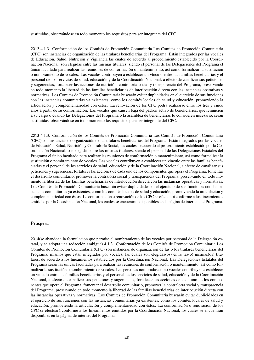sustituidas, observándose en todo momento los requisitos para ser integrante del CPC.

2012 4.1.3. Conformación de los Comités de Promoción Comunitaria Los Comités de Promoción Comunitaria (CPC) son instancias de organización de las titulares beneficiarias del Programa. Están integrados por las vocales de Educación, Salud, Nutrición y Vigilancia las cuales de acuerdo al procedimiento establecido por la Coordinación Nacional, son elegidas entre las mismas titulares, siendo el personal de las Delegaciones del Programa el único facultado para realizar las reuniones de conformación o mantenimiento, así como formalizar la sustitución o nombramiento de vocales. Las vocales contribuyen a establecer un vínculo entre las familias beneficiarias y el personal de los servicios de salud, educación y de la Coordinación Nacional, a efecto de canalizar sus peticiones y sugerencias, fortalecer las acciones de nutrición, contraloría social y transparencia del Programa, preservando en todo momento la libertad de las familias beneficiarias de interlocución directa con las instancias operativas y normativas. Los Comités de Promoción Comunitaria buscarán evitar duplicidades en el ejercicio de sus funciones con las instancias comunitarias ya existentes, como los comités locales de salud y educación, promoviendo la articulación y complementariedad con éstos. La renovación de los CPC podrá realizarse entre los tres y cinco años a partir de su conformación. Las vocales que causen baja del padrón activo de beneficiarios, que renuncien a su cargo o cuando las Delegaciones del Programa o la asamblea de beneficiarias lo consideren necesario, serán sustituidas, observándose en todo momento los requisitos para ser integrante del CPC.

2013 4.1.3. Conformación de los Comités de Promoción Comunitaria Los Comités de Promoción Comunitaria (CPC) son instancias de organización de las titulares beneficiarias del Programa. Están integrados por las vocales de Educación, Salud, Nutrición y Contraloría Social, las cuales de acuerdo al procedimiento establecido por la Coordinación Nacional, son elegidas entre las mismas titulares, siendo el personal de las Delegaciones Estatales del Programa el único facultado para realizar las reuniones de conformación o mantenimiento, así como formalizar la sustitución o nombramiento de vocales. Las vocales contribuyen a establecer un vínculo entre las familias beneficiarias y el personal de los servicios de salud, educación y de la Coordinación Nacional, a efecto de canalizar sus peticiones y sugerencias, fortalecer las acciones de cada uno de los componentes que opera el Programa, fomentar el desarrollo comunitario, promover la contraloría social y transparencia del Programa, preservando en todo momento la libertad de las familias beneficiarias de interlocución directa con las instancias operativas y normativas. Los Comités de Promoción Comunitaria buscarán evitar duplicidades en el ejercicio de sus funciones con las instancias comunitarias ya existentes, como los comités locales de salud y educación, promoviendo la articulación y complementariedad con éstos. La conformación o renovación de los CPC se efectuará conforme a los lineamientos emitidos por la Coordinación Nacional, los cuales se encuentran disponibles en la página de internet del Programa.

#### Prospera

2014(se abandona la formulación que permite el nombramiento de las vocales por personal de la Delegación estatal, y se adopta una redacción ambigua) 4.1.3. Conformación de los Comités de Promoción Comunitaria Los Comités de Promoción Comunitaria (CPC) son instancias de organización de las o los titulares beneficiarias del Programa, mismos que están integrados por vocales, las cuales son elegidas(os) entre las(o) mismas(os) titulares, de acuerdo a los lineamientos establecidos por la Coordinación Nacional. Las Delegaciones Estatales del Programa serán las únicas facultadas para realizar las reuniones de conformación o mantenimiento, así como formalizar la sustitución o nombramiento de vocales. Las personas nombradas como vocales contribuyen a establecer un vínculo entre las familias beneficiarias y el personal de los servicios de salud, educación y de la Coordinación Nacional, a efecto de canalizar sus peticiones y sugerencias, fortalecer las acciones de cada uno de los componentes que opera el Programa, fomentar el desarrollo comunitario, promover la contraloría social y transparencia del Programa, preservando en todo momento la libertad de las familias beneficiarias de interlocución directa con las instancias operativas y normativas. Los Comités de Promoción Comunitaria buscarán evitar duplicidades en el ejercicio de sus funciones con las instancias comunitarias ya existentes, como los comités locales de salud y educación, promoviendo la articulación y complementariedad con éstos. La conformación o renovación de los CPC se efectuará conforme a los lineamientos emitidos por la Coordinación Nacional, los cuales se encuentran disponibles en la página de internet del Programa.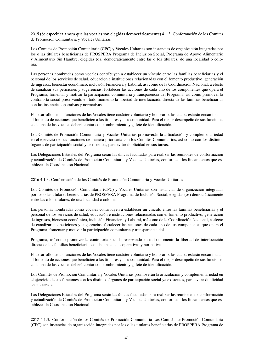#### 2015 (Se especifica ahora que las vocales son elegidas democráticamente) 4.1.3. Conformación de los Comités de Promoción Comunitaria y Vocales Unitarias

Los Comités de Promoción Comunitaria (CPC) y Vocales Unitarias son instancias de organización integradas por los o las titulares beneficiarias de PROSPERA Programa de Inclusión Social, Programa de Apoyo Alimentario y Alimentario Sin Hambre, elegidas (os) democráticamente entre las o los titulares, de una localidad o colonia.

Las personas nombradas como vocales contribuyen a establecer un vínculo entre las familias beneficiarias y el personal de los servicios de salud, educación e instituciones relacionadas con el fomento productivo, generación de ingresos, bienestar económico, inclusión Financiera y Laboral, así como de la Coordinación Nacional, a efecto de canalizar sus peticiones y sugerencias, fortalecer las acciones de cada uno de los componentes que opera el Programa, fomentar y motivar la participación comunitaria y transparencia del Programa, así como promover la contraloría social preservando en todo momento la libertad de interlocución directa de las familias beneficiarias con las instancias operativas y normativas.

El desarrollo de las funciones de las Vocales tiene carácter voluntario y honorario, las cuales estarán encaminadas al fomento de acciones que beneficien a las titulares y a su comunidad. Para el mejor desempeño de sus funciones cada una de las vocales deberá contar con nombramiento y gafete de identificación.

Los Comités de Promoción Comunitaria y Vocales Unitarias promoverán la articulación y complementariedad en el ejercicio de sus funciones de manera prioritaria con los Comités Comunitarios, así como con los distintos órganos de participación social ya existentes, para evitar duplicidad en sus tareas.

Las Delegaciones Estatales del Programa serán las únicas facultadas para realizar las reuniones de conformación y actualización de Comités de Promoción Comunitaria y Vocales Unitarias, conforme a los lineamientos que establezca la Coordinación Nacional.

2016 4.1.3. Conformación de los Comités de Promoción Comunitaria y Vocales Unitarias

Los Comités de Promoción Comunitaria (CPC) y Vocales Unitarias son instancias de organización integradas por los o las titulares beneficiarias de PROSPERA Programa de Inclusión Social, elegidas (os) democráticamente entre las o los titulares, de una localidad o colonia.

Las personas nombradas como vocales contribuyen a establecer un vínculo entre las familias beneficiarias y el personal de los servicios de salud, educación e instituciones relacionadas con el fomento productivo, generación de ingresos, bienestar económico, inclusión Financiera y Laboral, así como de la Coordinación Nacional, a efecto de canalizar sus peticiones y sugerencias, fortalecer las acciones de cada uno de los componentes que opera el Programa, fomentar y motivar la participación comunitaria y transparencia del

Programa, así como promover la contraloría social preservando en todo momento la libertad de interlocución directa de las familias beneficiarias con las instancias operativas y normativas.

El desarrollo de las funciones de las Vocales tiene carácter voluntario y honorario, las cuales estarán encaminadas al fomento de acciones que beneficien a las titulares y a su comunidad. Para el mejor desempeño de sus funciones cada una de las vocales deberá contar con nombramiento y gafete de identificación.

Los Comités de Promoción Comunitaria y Vocales Unitarias promoverán la articulación y complementariedad en el ejercicio de sus funciones con los distintos órganos de participación social ya existentes, para evitar duplicidad en sus tareas.

Las Delegaciones Estatales del Programa serán las únicas facultadas para realizar las reuniones de conformación y actualización de Comités de Promoción Comunitaria y Vocales Unitarias, conforme a los lineamientos que establezca la Coordinación Nacional.

2017 4.1.3. Conformación de los Comités de Promoción Comunitaria Los Comités de Promoción Comunitaria (CPC) son instancias de organización integradas por los o las titulares beneficiarias de PROSPERA Programa de